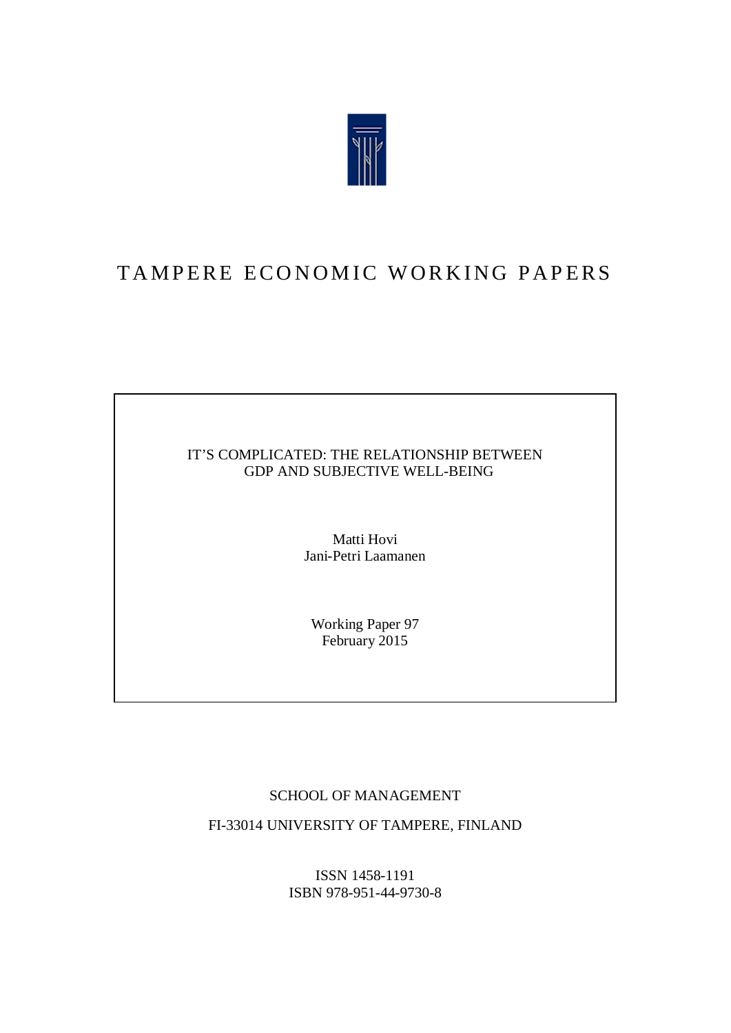

# TAMPERE ECONOMIC WORKING PAPERS

### IT'S COMPLICATED: THE RELATIONSHIP BETWEEN GDP AND SUBJECTIVE WELL-BEING

Matti Hovi Jani-Petri Laamanen

Working Paper 97 February 2015

### SCHOOL OF MANAGEMENT

FI-33014 UNIVERSITY OF TAMPERE, FINLAND

ISSN 1458-1191 ISBN 978-951-44-9730-8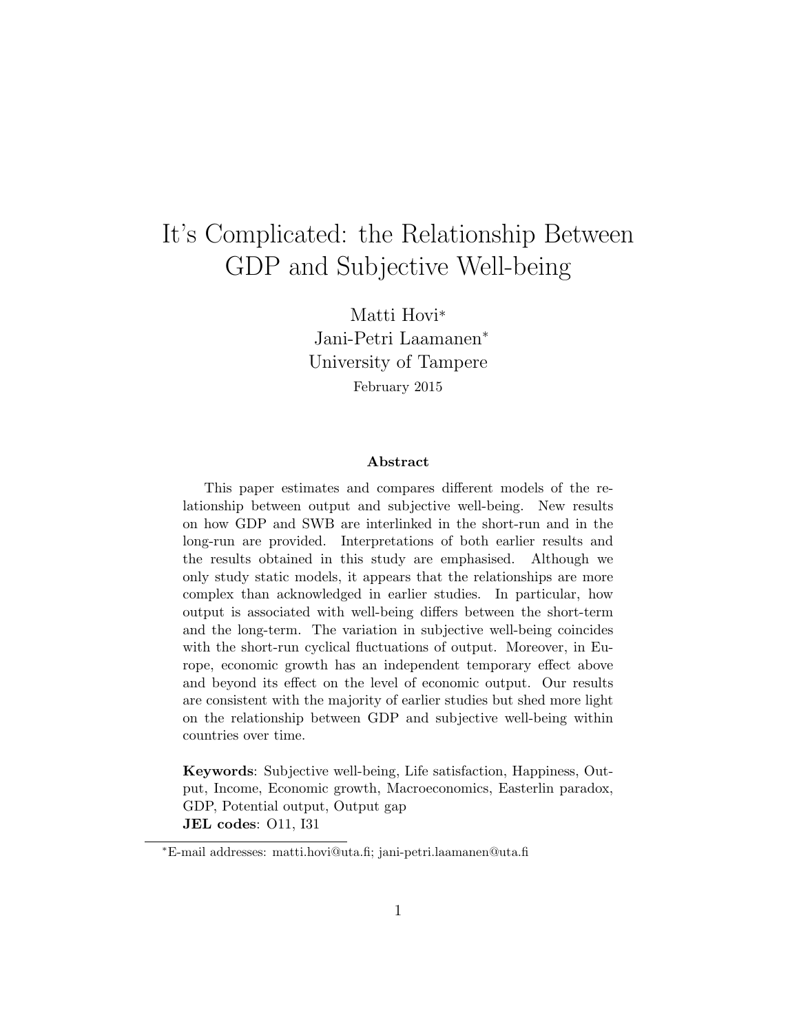# It's Complicated: the Relationship Between GDP and Subjective Well-being

Matti Hovi\* Jani-Petri Laamanen<sup>∗</sup> University of Tampere February 2015

#### Abstract

This paper estimates and compares different models of the relationship between output and subjective well-being. New results on how GDP and SWB are interlinked in the short-run and in the long-run are provided. Interpretations of both earlier results and the results obtained in this study are emphasised. Although we only study static models, it appears that the relationships are more complex than acknowledged in earlier studies. In particular, how output is associated with well-being differs between the short-term and the long-term. The variation in subjective well-being coincides with the short-run cyclical fluctuations of output. Moreover, in Europe, economic growth has an independent temporary effect above and beyond its effect on the level of economic output. Our results are consistent with the majority of earlier studies but shed more light on the relationship between GDP and subjective well-being within countries over time.

Keywords: Subjective well-being, Life satisfaction, Happiness, Output, Income, Economic growth, Macroeconomics, Easterlin paradox, GDP, Potential output, Output gap JEL codes: O11, I31

<sup>∗</sup>E-mail addresses: matti.hovi@uta.fi; jani-petri.laamanen@uta.fi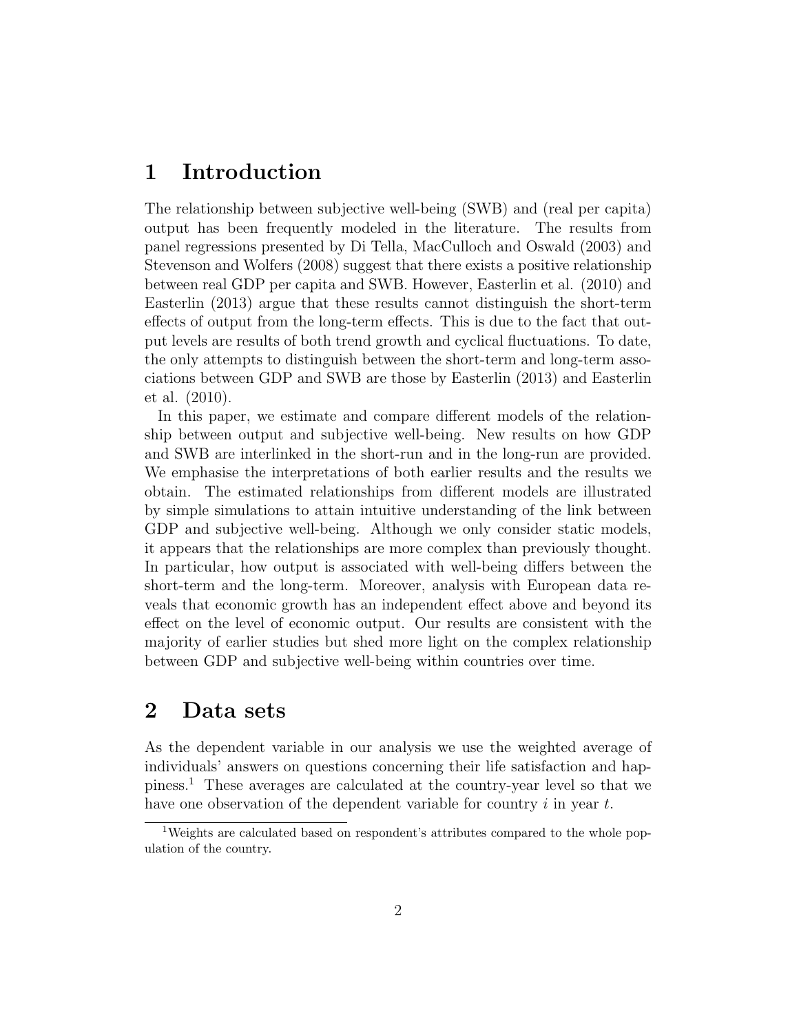## 1 Introduction

The relationship between subjective well-being (SWB) and (real per capita) output has been frequently modeled in the literature. The results from panel regressions presented by Di Tella, MacCulloch and Oswald (2003) and Stevenson and Wolfers (2008) suggest that there exists a positive relationship between real GDP per capita and SWB. However, Easterlin et al. (2010) and Easterlin (2013) argue that these results cannot distinguish the short-term effects of output from the long-term effects. This is due to the fact that output levels are results of both trend growth and cyclical fluctuations. To date, the only attempts to distinguish between the short-term and long-term associations between GDP and SWB are those by Easterlin (2013) and Easterlin et al. (2010).

In this paper, we estimate and compare different models of the relationship between output and subjective well-being. New results on how GDP and SWB are interlinked in the short-run and in the long-run are provided. We emphasise the interpretations of both earlier results and the results we obtain. The estimated relationships from different models are illustrated by simple simulations to attain intuitive understanding of the link between GDP and subjective well-being. Although we only consider static models, it appears that the relationships are more complex than previously thought. In particular, how output is associated with well-being differs between the short-term and the long-term. Moreover, analysis with European data reveals that economic growth has an independent effect above and beyond its effect on the level of economic output. Our results are consistent with the majority of earlier studies but shed more light on the complex relationship between GDP and subjective well-being within countries over time.

## 2 Data sets

As the dependent variable in our analysis we use the weighted average of individuals' answers on questions concerning their life satisfaction and happiness.<sup>1</sup> These averages are calculated at the country-year level so that we have one observation of the dependent variable for country  $i$  in year  $t$ .

<sup>1</sup>Weights are calculated based on respondent's attributes compared to the whole population of the country.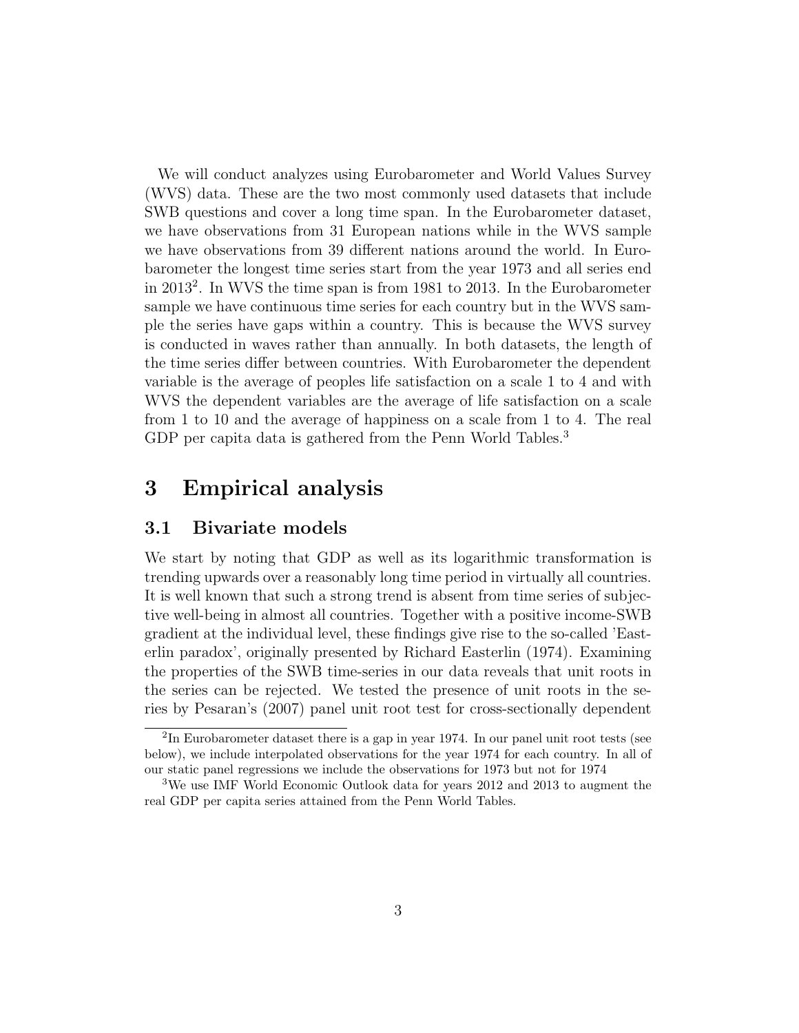We will conduct analyzes using Eurobarometer and World Values Survey (WVS) data. These are the two most commonly used datasets that include SWB questions and cover a long time span. In the Eurobarometer dataset, we have observations from 31 European nations while in the WVS sample we have observations from 39 different nations around the world. In Eurobarometer the longest time series start from the year 1973 and all series end in 2013<sup>2</sup> . In WVS the time span is from 1981 to 2013. In the Eurobarometer sample we have continuous time series for each country but in the WVS sample the series have gaps within a country. This is because the WVS survey is conducted in waves rather than annually. In both datasets, the length of the time series differ between countries. With Eurobarometer the dependent variable is the average of peoples life satisfaction on a scale 1 to 4 and with WVS the dependent variables are the average of life satisfaction on a scale from 1 to 10 and the average of happiness on a scale from 1 to 4. The real GDP per capita data is gathered from the Penn World Tables.<sup>3</sup>

## 3 Empirical analysis

#### 3.1 Bivariate models

We start by noting that GDP as well as its logarithmic transformation is trending upwards over a reasonably long time period in virtually all countries. It is well known that such a strong trend is absent from time series of subjective well-being in almost all countries. Together with a positive income-SWB gradient at the individual level, these findings give rise to the so-called 'Easterlin paradox', originally presented by Richard Easterlin (1974). Examining the properties of the SWB time-series in our data reveals that unit roots in the series can be rejected. We tested the presence of unit roots in the series by Pesaran's (2007) panel unit root test for cross-sectionally dependent

<sup>&</sup>lt;sup>2</sup>In Eurobarometer dataset there is a gap in year 1974. In our panel unit root tests (see below), we include interpolated observations for the year 1974 for each country. In all of our static panel regressions we include the observations for 1973 but not for 1974

<sup>3</sup>We use IMF World Economic Outlook data for years 2012 and 2013 to augment the real GDP per capita series attained from the Penn World Tables.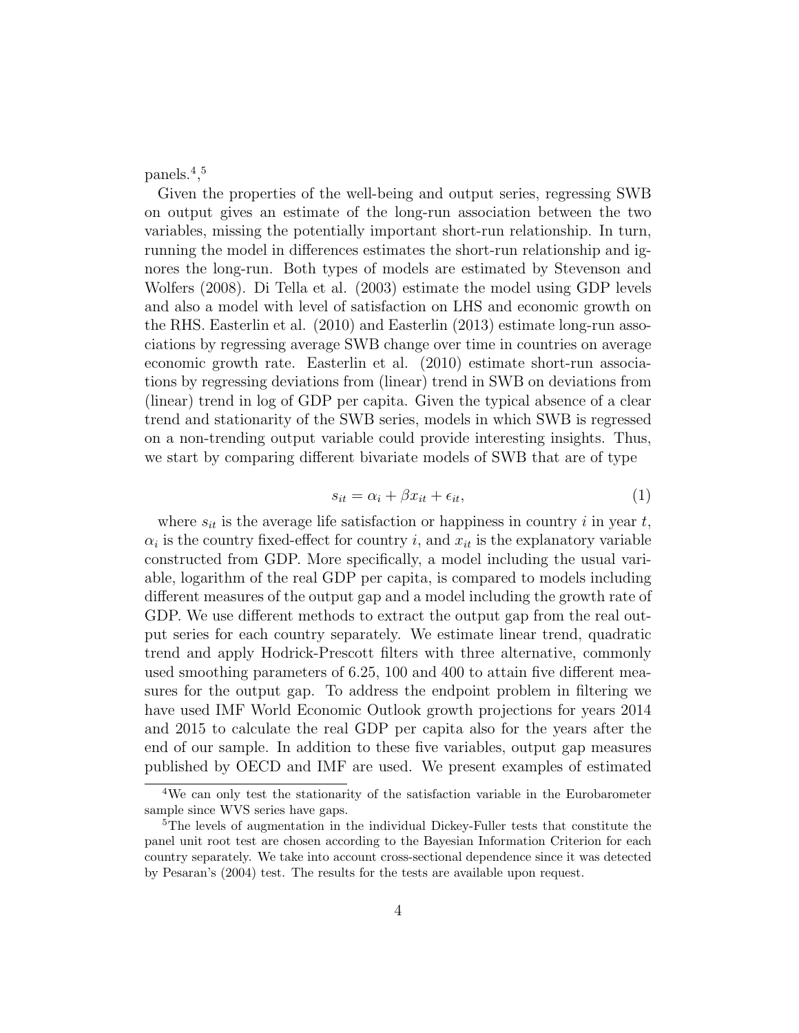panels.<sup>4</sup> , 5

Given the properties of the well-being and output series, regressing SWB on output gives an estimate of the long-run association between the two variables, missing the potentially important short-run relationship. In turn, running the model in differences estimates the short-run relationship and ignores the long-run. Both types of models are estimated by Stevenson and Wolfers (2008). Di Tella et al. (2003) estimate the model using GDP levels and also a model with level of satisfaction on LHS and economic growth on the RHS. Easterlin et al. (2010) and Easterlin (2013) estimate long-run associations by regressing average SWB change over time in countries on average economic growth rate. Easterlin et al. (2010) estimate short-run associations by regressing deviations from (linear) trend in SWB on deviations from (linear) trend in log of GDP per capita. Given the typical absence of a clear trend and stationarity of the SWB series, models in which SWB is regressed on a non-trending output variable could provide interesting insights. Thus, we start by comparing different bivariate models of SWB that are of type

$$
s_{it} = \alpha_i + \beta x_{it} + \epsilon_{it},\tag{1}
$$

where  $s_{it}$  is the average life satisfaction or happiness in country i in year t,  $\alpha_i$  is the country fixed-effect for country i, and  $x_{it}$  is the explanatory variable constructed from GDP. More specifically, a model including the usual variable, logarithm of the real GDP per capita, is compared to models including different measures of the output gap and a model including the growth rate of GDP. We use different methods to extract the output gap from the real output series for each country separately. We estimate linear trend, quadratic trend and apply Hodrick-Prescott filters with three alternative, commonly used smoothing parameters of 6.25, 100 and 400 to attain five different measures for the output gap. To address the endpoint problem in filtering we have used IMF World Economic Outlook growth projections for years 2014 and 2015 to calculate the real GDP per capita also for the years after the end of our sample. In addition to these five variables, output gap measures published by OECD and IMF are used. We present examples of estimated

<sup>4</sup>We can only test the stationarity of the satisfaction variable in the Eurobarometer sample since WVS series have gaps.

<sup>&</sup>lt;sup>5</sup>The levels of augmentation in the individual Dickey-Fuller tests that constitute the panel unit root test are chosen according to the Bayesian Information Criterion for each country separately. We take into account cross-sectional dependence since it was detected by Pesaran's (2004) test. The results for the tests are available upon request.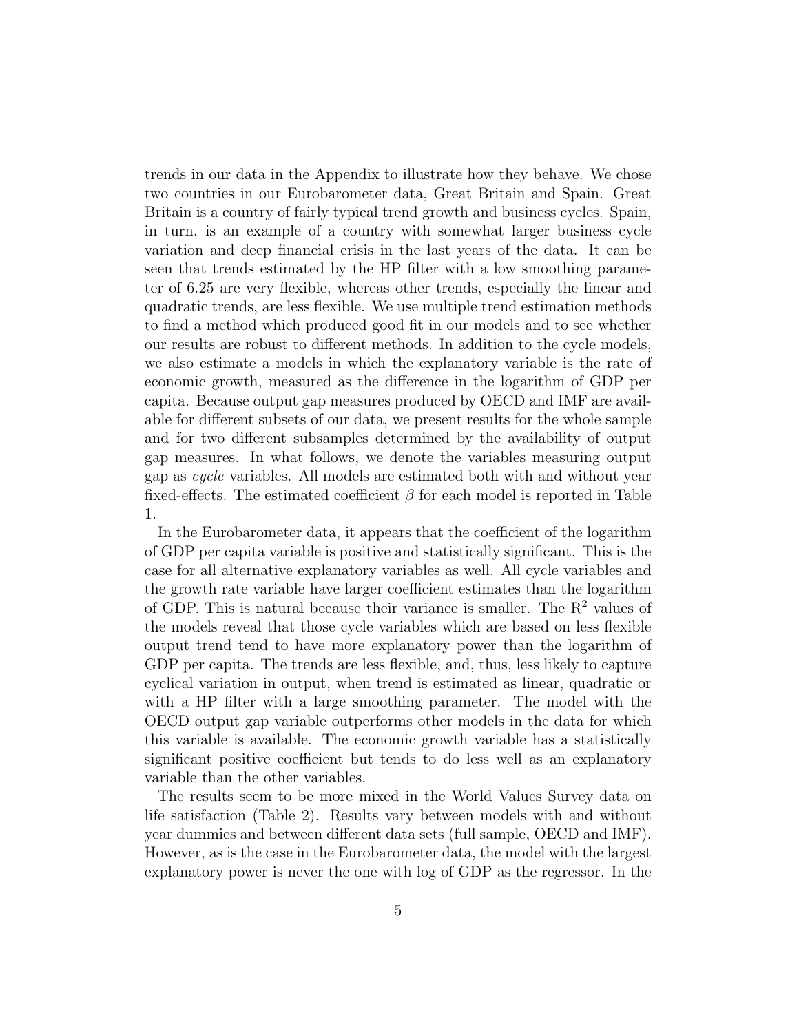trends in our data in the Appendix to illustrate how they behave. We chose two countries in our Eurobarometer data, Great Britain and Spain. Great Britain is a country of fairly typical trend growth and business cycles. Spain, in turn, is an example of a country with somewhat larger business cycle variation and deep financial crisis in the last years of the data. It can be seen that trends estimated by the HP filter with a low smoothing parameter of 6.25 are very flexible, whereas other trends, especially the linear and quadratic trends, are less flexible. We use multiple trend estimation methods to find a method which produced good fit in our models and to see whether our results are robust to different methods. In addition to the cycle models, we also estimate a models in which the explanatory variable is the rate of economic growth, measured as the difference in the logarithm of GDP per capita. Because output gap measures produced by OECD and IMF are available for different subsets of our data, we present results for the whole sample and for two different subsamples determined by the availability of output gap measures. In what follows, we denote the variables measuring output gap as cycle variables. All models are estimated both with and without year fixed-effects. The estimated coefficient  $\beta$  for each model is reported in Table 1.

In the Eurobarometer data, it appears that the coefficient of the logarithm of GDP per capita variable is positive and statistically significant. This is the case for all alternative explanatory variables as well. All cycle variables and the growth rate variable have larger coefficient estimates than the logarithm of GDP. This is natural because their variance is smaller. The  $R<sup>2</sup>$  values of the models reveal that those cycle variables which are based on less flexible output trend tend to have more explanatory power than the logarithm of GDP per capita. The trends are less flexible, and, thus, less likely to capture cyclical variation in output, when trend is estimated as linear, quadratic or with a HP filter with a large smoothing parameter. The model with the OECD output gap variable outperforms other models in the data for which this variable is available. The economic growth variable has a statistically significant positive coefficient but tends to do less well as an explanatory variable than the other variables.

The results seem to be more mixed in the World Values Survey data on life satisfaction (Table 2). Results vary between models with and without year dummies and between different data sets (full sample, OECD and IMF). However, as is the case in the Eurobarometer data, the model with the largest explanatory power is never the one with log of GDP as the regressor. In the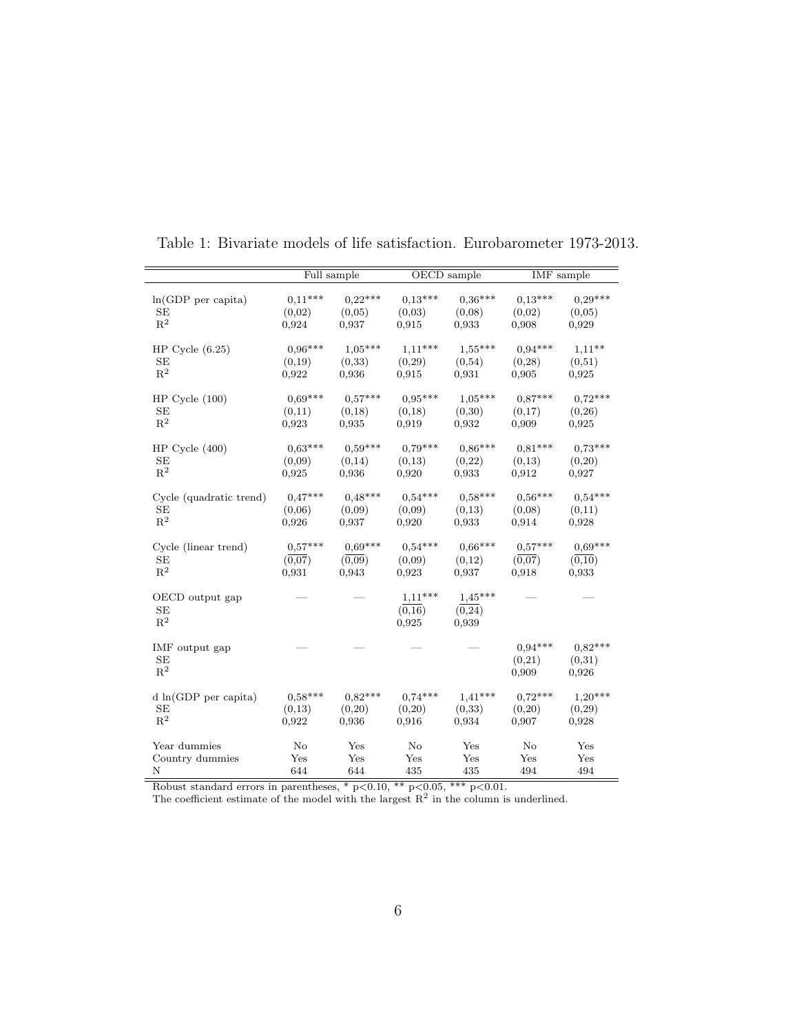|                                         |           | Full sample |                              | OECD sample                   | IMF sample                   |                              |
|-----------------------------------------|-----------|-------------|------------------------------|-------------------------------|------------------------------|------------------------------|
| $ln(GDP$ per capita)                    | $0,11***$ | $0.22***$   | $0.13***$                    | $0.36***$                     | $0.13***$                    | $0.29***$                    |
| SE                                      | (0,02)    | (0.05)      | (0,03)                       | (0,08)                        | (0.02)                       | (0,05)                       |
| $R^2$                                   | 0,924     | 0,937       | 0,915                        | 0,933                         | 0,908                        | 0,929                        |
| HP Cycle $(6.25)$                       | $0.96***$ | $1.05***$   | $1,11***$                    | $1,55***$                     | $0.94***$                    | $1.11***$                    |
| SE                                      | (0,19)    | (0,33)      | (0, 29)                      | (0,54)                        | (0, 28)                      | (0,51)                       |
| $R^2$                                   | 0,922     | 0,936       | 0,915                        | 0,931                         | 0.905                        | 0,925                        |
| $HP$ Cycle $(100)$                      | $0,69***$ | $0.57***$   | $0.95***$                    | $1,05***$                     | $0.87***$                    | $0.72***$                    |
| <b>SE</b>                               | (0,11)    | (0,18)      | (0,18)                       | (0,30)                        | (0,17)                       | (0, 26)                      |
| $R^2$                                   | 0,923     | 0,935       | 0,919                        | 0,932                         | 0,909                        | 0.925                        |
| $HP$ Cycle $(400)$                      | $0.63***$ | $0.59***$   | $0.79***$                    | $0,86***$                     | $0.81***$                    | $0.73***$                    |
| SE                                      | (0,09)    | (0,14)      | (0,13)                       | (0,22)                        | (0.13)                       | (0,20)                       |
| $\mathbf{R}^2$                          | 0,925     | 0,936       | 0,920                        | 0,933                         | 0,912                        | 0,927                        |
| Cycle (quadratic trend)                 | $0.47***$ | $0.48***$   | $0.54***$                    | $0.58***$                     | $0.56***$                    | $0.54***$                    |
| SE                                      | (0,06)    | (0,09)      | (0,09)                       | (0,13)                        | (0,08)                       | (0,11)                       |
| $\mathbb{R}^2$                          | 0,926     | 0,937       | 0,920                        | 0,933                         | 0.914                        | 0,928                        |
| Cycle (linear trend)                    | $0.57***$ | $0.69***$   | $0.54***$                    | $0,66***$                     | $0.57***$                    | $0.69***$                    |
| SE                                      | (0,07)    | (0,09)      | (0,09)                       | (0,12)                        | (0,07)                       | (0,10)                       |
| $R^2$                                   | 0,931     | 0.943       | 0,923                        | 0,937                         | 0,918                        | 0,933                        |
| OECD output gap<br>SE<br>$\mathbf{R}^2$ |           |             | $1,11***$<br>(0,16)<br>0.925 | $1,45***$<br>(0, 24)<br>0,939 |                              |                              |
| IMF output gap<br>SE<br>$R^2$           |           |             |                              |                               | $0.94***$<br>(0,21)<br>0.909 | $0.82***$<br>(0,31)<br>0,926 |
| $d \ln(GDP)$ per capita)                | $0.58***$ | $0.82***$   | $0.74***$                    | $1,41***$                     | $0.72***$                    | $1,20***$                    |
| SE                                      | (0,13)    | (0,20)      | (0,20)                       | (0,33)                        | (0,20)                       | (0, 29)                      |
| $\mathbf{R}^2$                          | 0,922     | 0,936       | 0,916                        | 0,934                         | 0,907                        | 0,928                        |
| Year dummies                            | $\rm No$  | Yes         | $\rm No$                     | Yes                           | $\rm No$                     | Yes                          |
| Country dummies                         | Yes       | Yes         | Yes                          | Yes                           | Yes                          | Yes                          |
| N                                       | 644       | 644         | 435                          | 435                           | 494                          | 494                          |

Table 1: Bivariate models of life satisfaction. Eurobarometer 1973-2013.

Robust standard errors in parentheses,  $* p<0.10$ ,  $** p<0.05$ ,  $*** p<0.01$ .

The coefficient estimate of the model with the largest  $R^2$  in the column is underlined.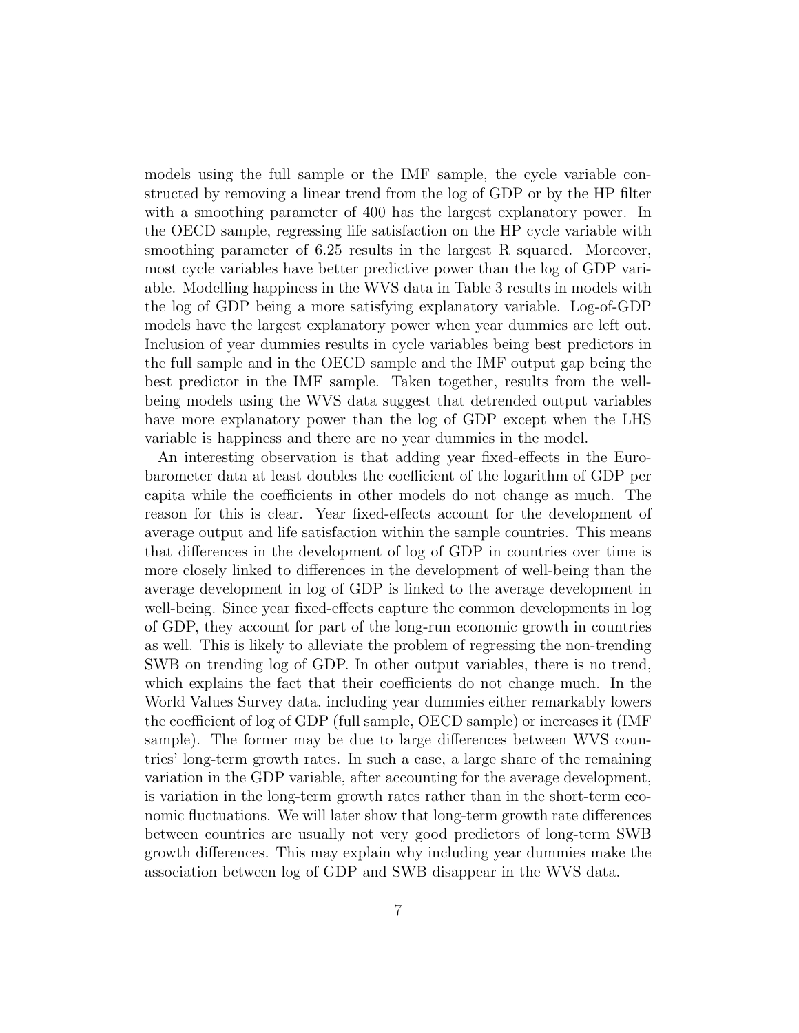models using the full sample or the IMF sample, the cycle variable constructed by removing a linear trend from the log of GDP or by the HP filter with a smoothing parameter of 400 has the largest explanatory power. In the OECD sample, regressing life satisfaction on the HP cycle variable with smoothing parameter of 6.25 results in the largest R squared. Moreover, most cycle variables have better predictive power than the log of GDP variable. Modelling happiness in the WVS data in Table 3 results in models with the log of GDP being a more satisfying explanatory variable. Log-of-GDP models have the largest explanatory power when year dummies are left out. Inclusion of year dummies results in cycle variables being best predictors in the full sample and in the OECD sample and the IMF output gap being the best predictor in the IMF sample. Taken together, results from the wellbeing models using the WVS data suggest that detrended output variables have more explanatory power than the log of GDP except when the LHS variable is happiness and there are no year dummies in the model.

An interesting observation is that adding year fixed-effects in the Eurobarometer data at least doubles the coefficient of the logarithm of GDP per capita while the coefficients in other models do not change as much. The reason for this is clear. Year fixed-effects account for the development of average output and life satisfaction within the sample countries. This means that differences in the development of log of GDP in countries over time is more closely linked to differences in the development of well-being than the average development in log of GDP is linked to the average development in well-being. Since year fixed-effects capture the common developments in log of GDP, they account for part of the long-run economic growth in countries as well. This is likely to alleviate the problem of regressing the non-trending SWB on trending log of GDP. In other output variables, there is no trend, which explains the fact that their coefficients do not change much. In the World Values Survey data, including year dummies either remarkably lowers the coefficient of log of GDP (full sample, OECD sample) or increases it (IMF sample). The former may be due to large differences between WVS countries' long-term growth rates. In such a case, a large share of the remaining variation in the GDP variable, after accounting for the average development, is variation in the long-term growth rates rather than in the short-term economic fluctuations. We will later show that long-term growth rate differences between countries are usually not very good predictors of long-term SWB growth differences. This may explain why including year dummies make the association between log of GDP and SWB disappear in the WVS data.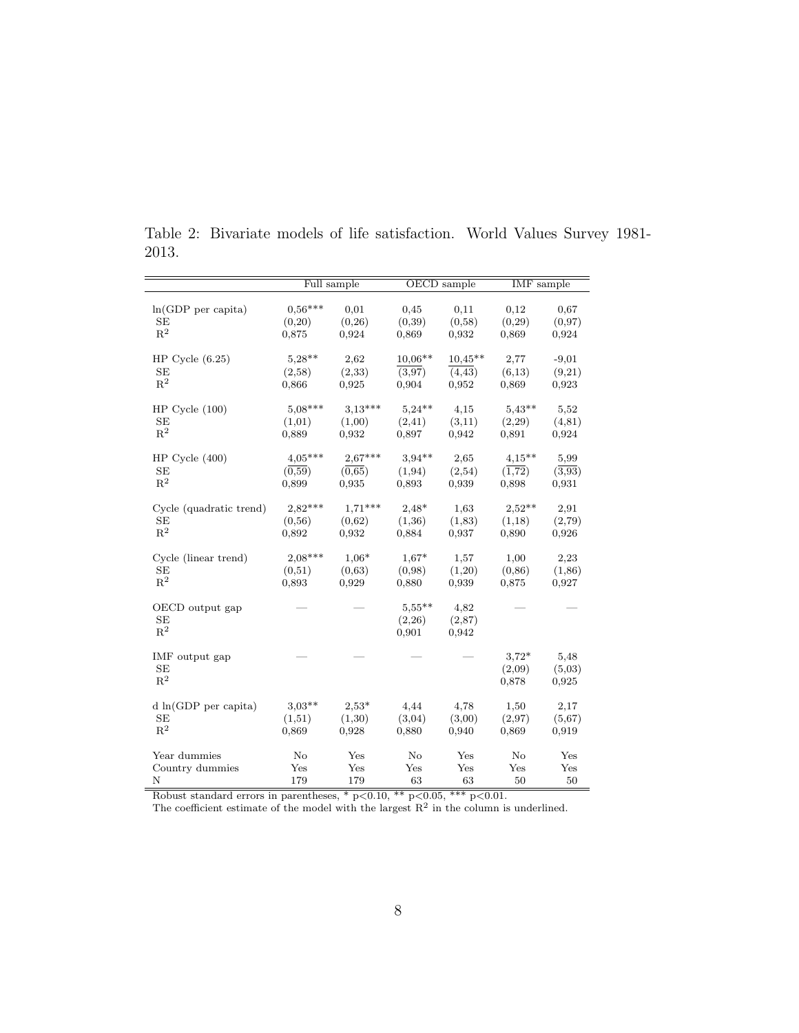|                         |                | Full sample |           | OECD sample | <b>IMF</b> sample |         |  |
|-------------------------|----------------|-------------|-----------|-------------|-------------------|---------|--|
|                         |                |             |           |             |                   |         |  |
| $ln(GDP$ per capita)    | $0.56***$      | 0,01        | 0,45      | 0,11        | 0,12              | 0,67    |  |
| SE                      | (0,20)         | (0,26)      | (0,39)    | (0,58)      | (0,29)            | (0,97)  |  |
| $\mathbf{R}^2$          | 0,875          | 0.924       | 0,869     | 0,932       | 0,869             | 0,924   |  |
| HP Cycle $(6.25)$       | $5,28**$       | 2,62        | $10,06**$ | $10,45**$   | 2,77              | $-9,01$ |  |
| SE                      | (2,58)         | (2,33)      | (3.97)    | (4, 43)     | (6,13)            | (9,21)  |  |
| $\mathbb{R}^2$          | 0,866          | 0,925       | 0,904     | 0,952       | 0,869             | 0,923   |  |
|                         |                |             |           |             |                   |         |  |
| $HP$ Cycle $(100)$      | $5,08***$      | $3,13***$   | $5.24**$  | 4,15        | $5,43**$          | 5,52    |  |
| SE                      | (1,01)         | (1,00)      | (2,41)    | (3,11)      | (2,29)            | (4,81)  |  |
| $R^2$                   | 0,889          | 0,932       | 0,897     | 0.942       | 0,891             | 0,924   |  |
| $HP$ Cycle $(400)$      | $4,05***$      | $2.67***$   | $3.94**$  | 2,65        | $4,15***$         | 5,99    |  |
| <b>SE</b>               | (0,59)         | (0,65)      | (1, 94)   | (2,54)      | (1,72)            | (3,93)  |  |
| $\mathbf{R}^2$          | 0,899          | 0,935       | 0,893     | 0,939       | 0,898             | 0,931   |  |
|                         |                |             |           |             |                   |         |  |
| Cycle (quadratic trend) | $2,82***$      | $1,71***$   | $2,48*$   | 1,63        | $2.52**$          | 2,91    |  |
| SE                      | (0,56)         | (0,62)      | (1,36)    | (1,83)      | (1,18)            | (2,79)  |  |
| $\mathbf{R}^2$          | 0,892          | 0,932       | 0,884     | 0,937       | 0,890             | 0,926   |  |
| Cycle (linear trend)    | $2,08***$      | $1,06*$     | $1,67*$   | 1,57        | 1,00              | 2,23    |  |
| SE                      | (0,51)         | (0,63)      | (0,98)    | (1,20)      | (0, 86)           | (1,86)  |  |
| $R^2$                   | 0,893          | 0,929       | 0,880     | 0,939       | 0,875             | 0,927   |  |
|                         |                |             |           |             |                   |         |  |
| OECD output gap         |                |             | $5,55***$ | 4,82        |                   |         |  |
| <b>SE</b>               |                |             | (2,26)    | (2,87)      |                   |         |  |
| $R^2$                   |                |             | 0,901     | 0,942       |                   |         |  |
|                         |                |             |           |             |                   |         |  |
| IMF output gap          |                |             |           |             | $3.72*$           | 5,48    |  |
| SE<br>$\mathbb{R}^2$    |                |             |           |             | (2,09)            | (5,03)  |  |
|                         |                |             |           |             | 0,878             | 0,925   |  |
| d ln(GDP per capita)    | $3.03**$       | $2.53*$     | 4,44      | 4,78        | 1,50              | 2,17    |  |
| SE                      | (1,51)         | (1,30)      | (3,04)    | (3,00)      | (2,97)            | (5,67)  |  |
| $R^2$                   | 0,869          | 0,928       | 0,880     | 0,940       | 0,869             | 0,919   |  |
|                         | N <sub>o</sub> | Yes         | $\rm No$  | Yes         | $\rm No$          | Yes     |  |
| Year dummies            |                |             | Yes       | Yes         | Yes               | Yes     |  |
| Country dummies<br>N    | Yes<br>179     | Yes<br>179  | 63        | 63          | 50                | 50      |  |
|                         |                |             |           |             |                   |         |  |

Table 2: Bivariate models of life satisfaction. World Values Survey 1981- 2013.

Robust standard errors in parentheses,  $*$  p $< 0.10$ ,  $**$  p $< 0.05$ ,  $**$  p $< 0.01$ .

The coefficient estimate of the model with the largest  $R^2$  in the column is underlined.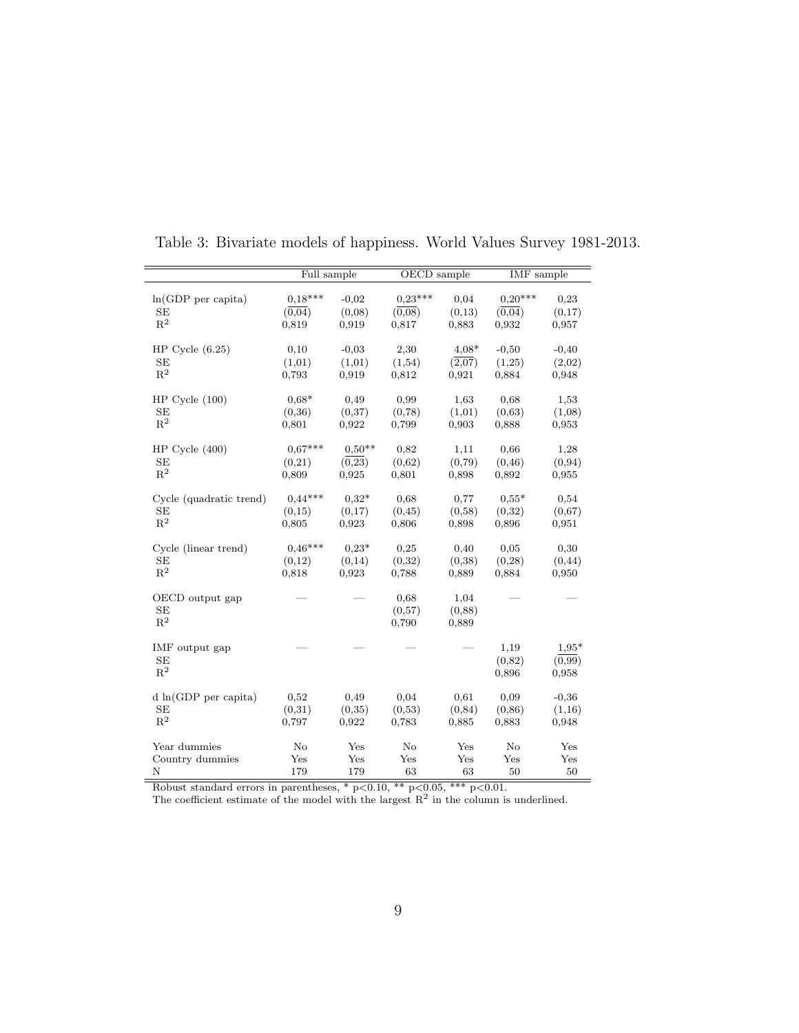|                          | Full sample |                   | OECD sample       |            | IMF sample |            |  |
|--------------------------|-------------|-------------------|-------------------|------------|------------|------------|--|
|                          |             |                   |                   |            |            |            |  |
| $ln(GDP$ per capita)     | $0,18***$   | $-0.02$           | $0,23***$         | 0.04       | $0,20***$  | 0,23       |  |
| <b>SE</b>                | $(0,\!04)$  | (0,08)            | (0,08)            | (0,13)     | (0,04)     | (0,17)     |  |
| $\mathbb{R}^2$           | 0,819       | 0.919             | 0,817             | 0,883      | 0.932      | 0,957      |  |
|                          |             |                   |                   |            |            |            |  |
| HP Cycle $(6.25)$        | 0,10        | $-0,03$           | 2,30              | $4.08*$    | $-0,50$    | $-0,40$    |  |
| SE<br>$\mathbf{R}^2$     | (1,01)      | (1,01)            | (1,54)            | (2,07)     | (1,25)     | (2,02)     |  |
|                          | 0,793       | 0,919             | 0,812             | 0,921      | 0,884      | 0,948      |  |
| $HP$ Cycle $(100)$       | $0.68*$     | 0,49              | 0.99              | 1,63       | 0,68       | 1,53       |  |
| SE                       | (0,36)      | (0,37)            | (0, 78)           | (1,01)     | (0,63)     | (1,08)     |  |
| $\mathbf{R}^2$           | 0,801       | 0,922             | 0,799             | 0,903      | 0,888      | 0,953      |  |
|                          |             |                   |                   |            |            |            |  |
| HP Cycle $(400)$         | $0.67***$   | $0.50**$          | 0,82              | 1,11       | 0,66       | 1,28       |  |
| <b>SE</b>                | (0,21)      | (0, 23)           | (0,62)            | (0,79)     | (0, 46)    | (0, 94)    |  |
| $\mathbf{R}^2$           | 0,809       | 0,925             | 0,801             | 0,898      | 0,892      | 0,955      |  |
| Cycle (quadratic trend)  | $0.44***$   | $0,32*$           | 0,68              | 0,77       | $0.55*$    | 0,54       |  |
| SЕ                       | (0,15)      | (0,17)            | (0, 45)           | (0,58)     | (0,32)     | (0,67)     |  |
| $\mathbf{R}^2$           | 0,805       | 0,923             | 0,806             | 0,898      | 0,896      | 0,951      |  |
|                          |             |                   |                   |            |            |            |  |
| Cycle (linear trend)     | $0,46***$   | $0.23*$           | 0,25              | 0,40       | 0.05       | 0,30       |  |
| <b>SE</b>                | (0,12)      | (0,14)            | (0,32)            | (0,38)     | (0, 28)    | (0, 44)    |  |
| $\mathbf{R}^2$           | 0,818       | 0,923             | 0,788             | 0,889      | 0,884      | 0,950      |  |
|                          |             |                   |                   |            |            |            |  |
| OECD output gap          |             |                   | 0.68              | 1,04       |            |            |  |
| SE<br>$\mathbf{R}^2$     |             |                   | (0,57)            | (0,88)     |            |            |  |
|                          |             |                   | 0,790             | 0,889      |            |            |  |
| IMF output gap           |             |                   |                   |            | 1,19       | $1.95*$    |  |
| <b>SE</b>                |             |                   |                   |            | (0,82)     | (0.99)     |  |
| $\mathbb{R}^2$           |             |                   |                   |            | 0,896      | 0,958      |  |
|                          |             |                   |                   |            |            |            |  |
| $d \ln(GDP)$ per capita) | 0,52        | 0,49              | 0.04              | 0,61       | 0,09       | $-0,36$    |  |
| SE                       | (0,31)      | (0,35)            | (0,53)            | (0, 84)    | (0, 86)    | (1,16)     |  |
| $\mathbb{R}^2$           | 0,797       | 0,922             | 0,783             | 0,885      | 0,883      | 0,948      |  |
|                          |             |                   |                   |            |            |            |  |
| Year dummies             | No          | Yes<br>Yes        | No<br>Yes         | Yes<br>Yes | No<br>Yes  | Yes<br>Yes |  |
| Country dummies<br>Ν     | Yes<br>179  | 179               | 63                | 63         | 50         | 50         |  |
|                          |             | $\overline{\ast}$ | $\overline{\ast}$ | $***$      |            |            |  |

Table 3: Bivariate models of happiness. World Values Survey 1981-2013.

Robust standard errors in parentheses,  $*$  p $< 0.10$ ,  $**$  p $< 0.05$ ,  $**$  p $< 0.01$ .

The coefficient estimate of the model with the largest  $R^2$  in the column is underlined.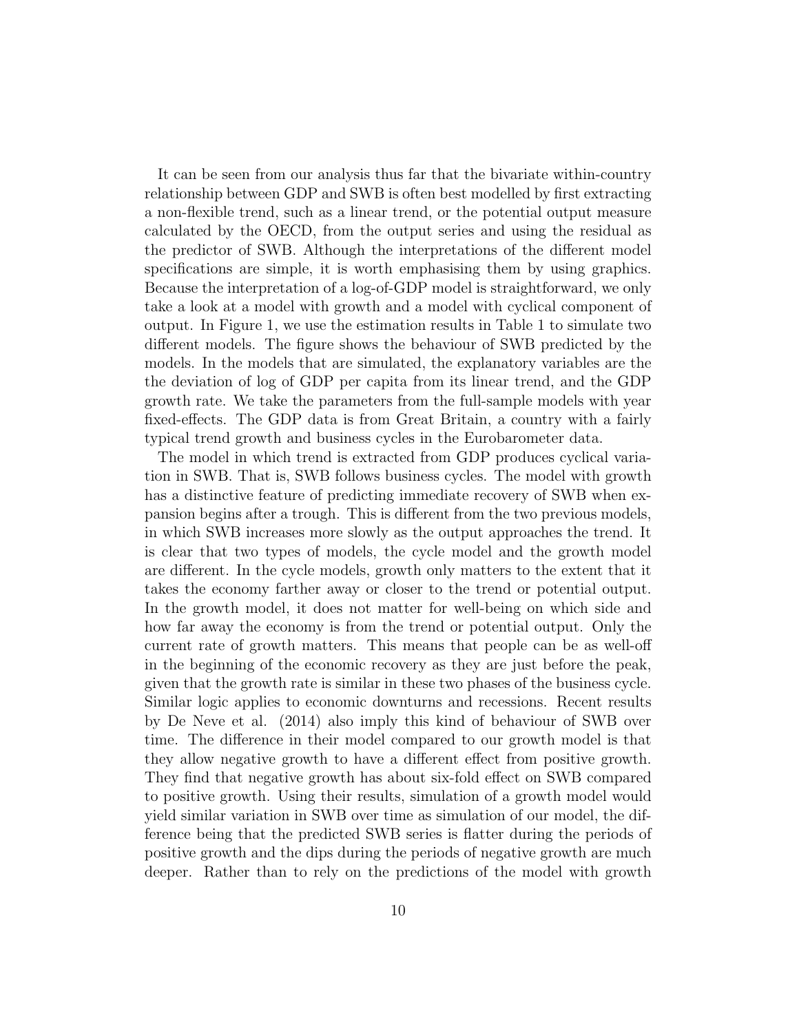It can be seen from our analysis thus far that the bivariate within-country relationship between GDP and SWB is often best modelled by first extracting a non-flexible trend, such as a linear trend, or the potential output measure calculated by the OECD, from the output series and using the residual as the predictor of SWB. Although the interpretations of the different model specifications are simple, it is worth emphasising them by using graphics. Because the interpretation of a log-of-GDP model is straightforward, we only take a look at a model with growth and a model with cyclical component of output. In Figure 1, we use the estimation results in Table 1 to simulate two different models. The figure shows the behaviour of SWB predicted by the models. In the models that are simulated, the explanatory variables are the the deviation of log of GDP per capita from its linear trend, and the GDP growth rate. We take the parameters from the full-sample models with year fixed-effects. The GDP data is from Great Britain, a country with a fairly typical trend growth and business cycles in the Eurobarometer data.

The model in which trend is extracted from GDP produces cyclical variation in SWB. That is, SWB follows business cycles. The model with growth has a distinctive feature of predicting immediate recovery of SWB when expansion begins after a trough. This is different from the two previous models, in which SWB increases more slowly as the output approaches the trend. It is clear that two types of models, the cycle model and the growth model are different. In the cycle models, growth only matters to the extent that it takes the economy farther away or closer to the trend or potential output. In the growth model, it does not matter for well-being on which side and how far away the economy is from the trend or potential output. Only the current rate of growth matters. This means that people can be as well-off in the beginning of the economic recovery as they are just before the peak, given that the growth rate is similar in these two phases of the business cycle. Similar logic applies to economic downturns and recessions. Recent results by De Neve et al. (2014) also imply this kind of behaviour of SWB over time. The difference in their model compared to our growth model is that they allow negative growth to have a different effect from positive growth. They find that negative growth has about six-fold effect on SWB compared to positive growth. Using their results, simulation of a growth model would yield similar variation in SWB over time as simulation of our model, the difference being that the predicted SWB series is flatter during the periods of positive growth and the dips during the periods of negative growth are much deeper. Rather than to rely on the predictions of the model with growth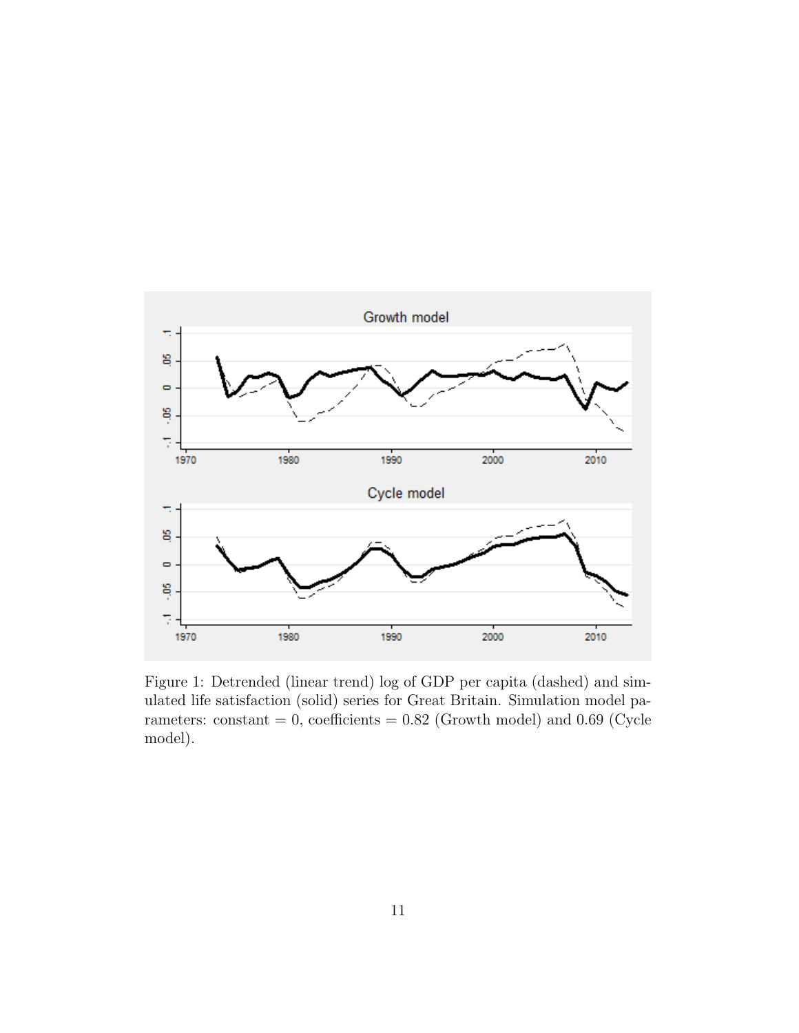

Figure 1: Detrended (linear trend) log of GDP per capita (dashed) and simulated life satisfaction (solid) series for Great Britain. Simulation model parameters: constant =  $0$ , coefficients =  $0.82$  (Growth model) and  $0.69$  (Cycle model).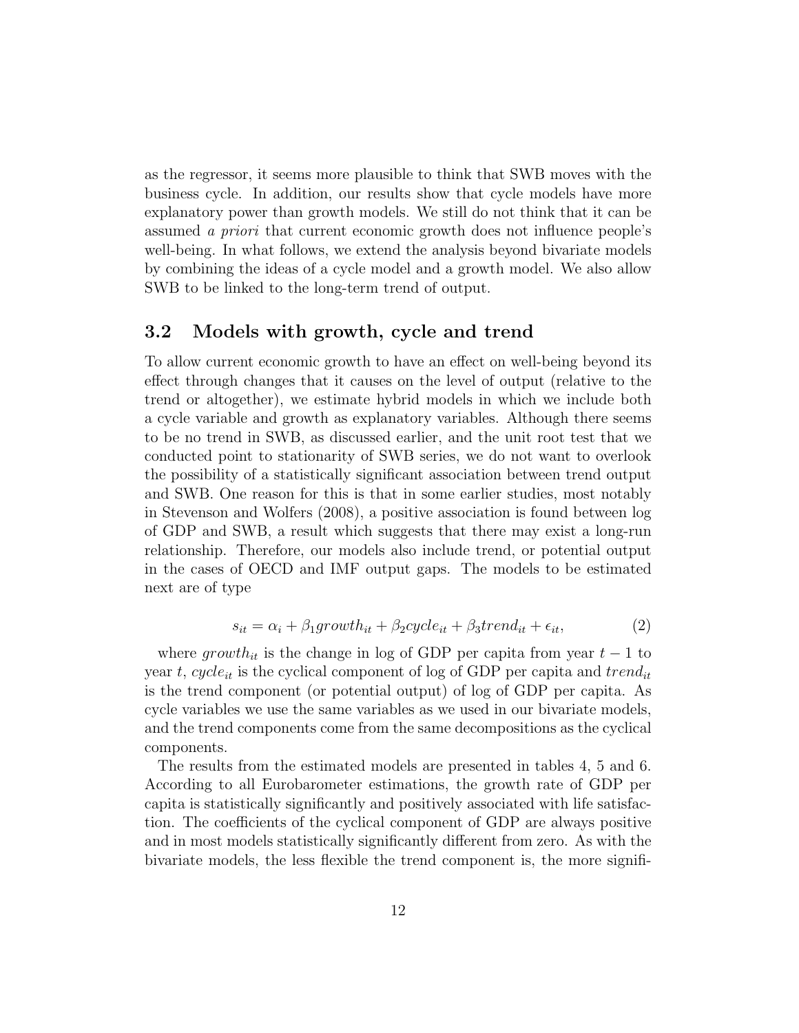as the regressor, it seems more plausible to think that SWB moves with the business cycle. In addition, our results show that cycle models have more explanatory power than growth models. We still do not think that it can be assumed a priori that current economic growth does not influence people's well-being. In what follows, we extend the analysis beyond bivariate models by combining the ideas of a cycle model and a growth model. We also allow SWB to be linked to the long-term trend of output.

#### 3.2 Models with growth, cycle and trend

To allow current economic growth to have an effect on well-being beyond its effect through changes that it causes on the level of output (relative to the trend or altogether), we estimate hybrid models in which we include both a cycle variable and growth as explanatory variables. Although there seems to be no trend in SWB, as discussed earlier, and the unit root test that we conducted point to stationarity of SWB series, we do not want to overlook the possibility of a statistically significant association between trend output and SWB. One reason for this is that in some earlier studies, most notably in Stevenson and Wolfers (2008), a positive association is found between log of GDP and SWB, a result which suggests that there may exist a long-run relationship. Therefore, our models also include trend, or potential output in the cases of OECD and IMF output gaps. The models to be estimated next are of type

$$
s_{it} = \alpha_i + \beta_1 growth_{it} + \beta_2 cycle_{it} + \beta_3 trend_{it} + \epsilon_{it}, \tag{2}
$$

where growth<sub>it</sub> is the change in log of GDP per capita from year  $t - 1$  to year t, cycle<sub>it</sub> is the cyclical component of log of GDP per capita and trend<sub>it</sub> is the trend component (or potential output) of log of GDP per capita. As cycle variables we use the same variables as we used in our bivariate models, and the trend components come from the same decompositions as the cyclical components.

The results from the estimated models are presented in tables 4, 5 and 6. According to all Eurobarometer estimations, the growth rate of GDP per capita is statistically significantly and positively associated with life satisfaction. The coefficients of the cyclical component of GDP are always positive and in most models statistically significantly different from zero. As with the bivariate models, the less flexible the trend component is, the more signifi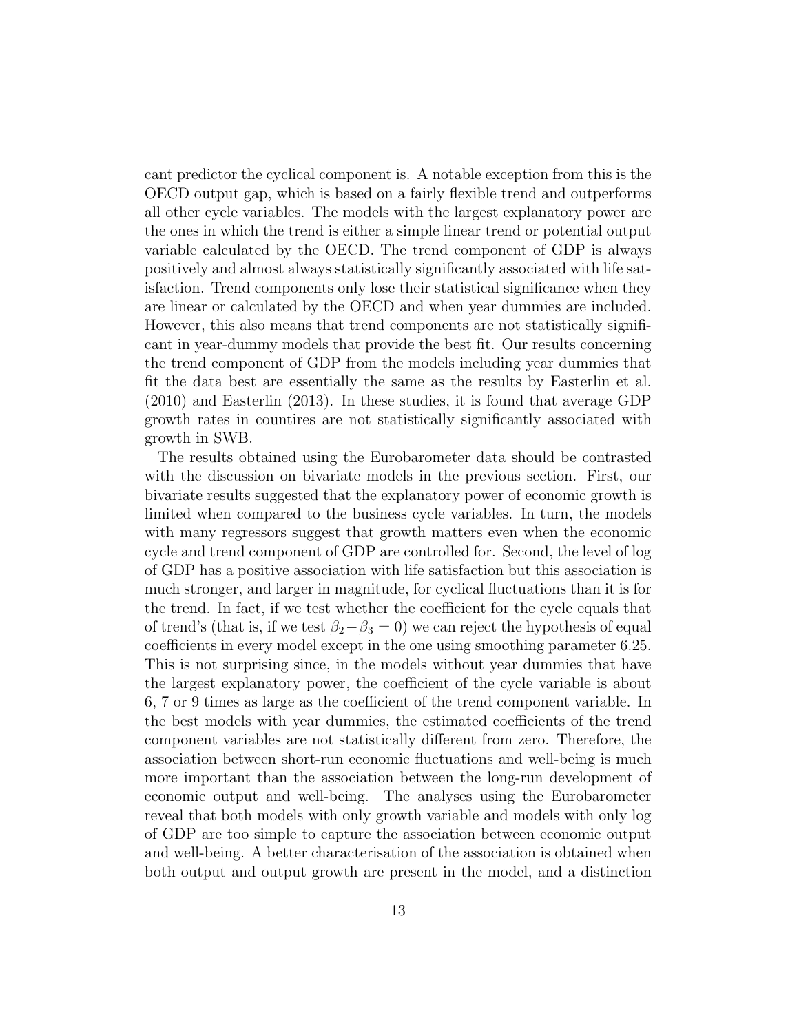cant predictor the cyclical component is. A notable exception from this is the OECD output gap, which is based on a fairly flexible trend and outperforms all other cycle variables. The models with the largest explanatory power are the ones in which the trend is either a simple linear trend or potential output variable calculated by the OECD. The trend component of GDP is always positively and almost always statistically significantly associated with life satisfaction. Trend components only lose their statistical significance when they are linear or calculated by the OECD and when year dummies are included. However, this also means that trend components are not statistically significant in year-dummy models that provide the best fit. Our results concerning the trend component of GDP from the models including year dummies that fit the data best are essentially the same as the results by Easterlin et al. (2010) and Easterlin (2013). In these studies, it is found that average GDP growth rates in countires are not statistically significantly associated with growth in SWB.

The results obtained using the Eurobarometer data should be contrasted with the discussion on bivariate models in the previous section. First, our bivariate results suggested that the explanatory power of economic growth is limited when compared to the business cycle variables. In turn, the models with many regressors suggest that growth matters even when the economic cycle and trend component of GDP are controlled for. Second, the level of log of GDP has a positive association with life satisfaction but this association is much stronger, and larger in magnitude, for cyclical fluctuations than it is for the trend. In fact, if we test whether the coefficient for the cycle equals that of trend's (that is, if we test  $\beta_2-\beta_3=0$ ) we can reject the hypothesis of equal coefficients in every model except in the one using smoothing parameter 6.25. This is not surprising since, in the models without year dummies that have the largest explanatory power, the coefficient of the cycle variable is about 6, 7 or 9 times as large as the coefficient of the trend component variable. In the best models with year dummies, the estimated coefficients of the trend component variables are not statistically different from zero. Therefore, the association between short-run economic fluctuations and well-being is much more important than the association between the long-run development of economic output and well-being. The analyses using the Eurobarometer reveal that both models with only growth variable and models with only log of GDP are too simple to capture the association between economic output and well-being. A better characterisation of the association is obtained when both output and output growth are present in the model, and a distinction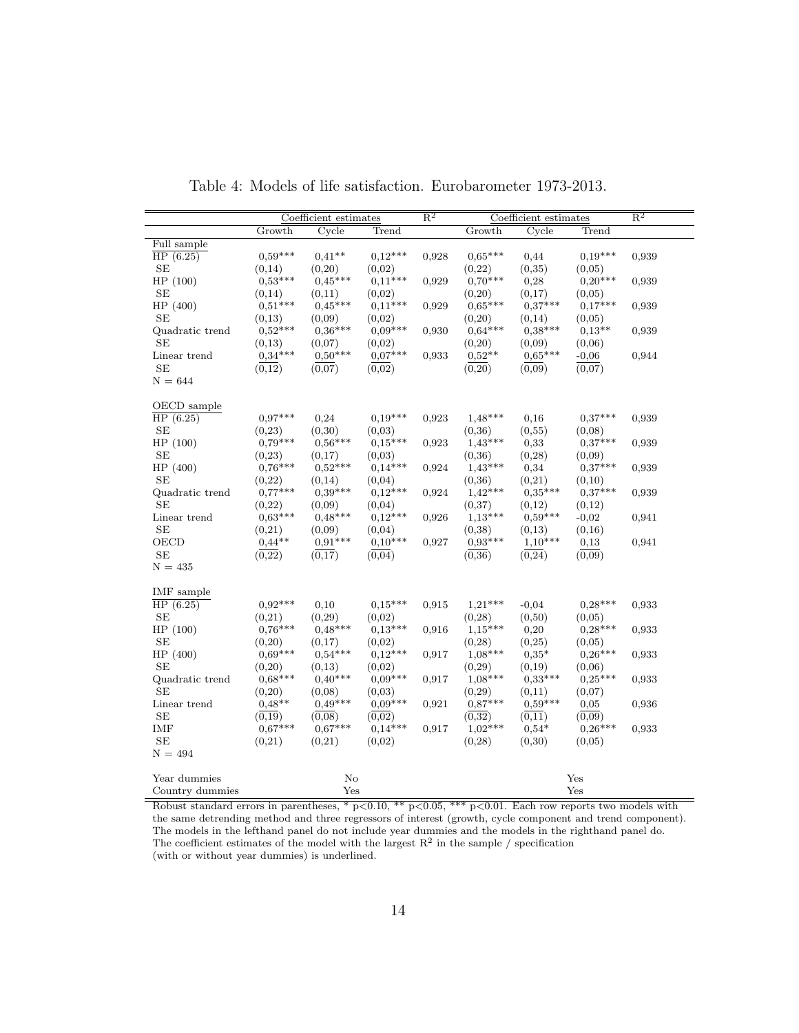|                              | Coefficient estimates |           | $\mathbb{R}^2$ | Coefficient estimates |                     |           | $\mathbb{R}^2$ |       |
|------------------------------|-----------------------|-----------|----------------|-----------------------|---------------------|-----------|----------------|-------|
|                              | Growth                | Cycle     | Trend          |                       | Growth              | Cycle     | Trend          |       |
| Full sample                  |                       |           |                |                       |                     |           |                |       |
| $\overline{\text{HP}(6.25)}$ | $0,59***$             | $0.41**$  | $0.12***$      | 0,928                 | $0.65***$           | 0,44      | $0,19***$      | 0,939 |
| <b>SE</b>                    | (0,14)                | (0,20)    | (0,02)         |                       | (0,22)              | (0, 35)   | (0,05)         |       |
| HP(100)                      | $0,53***$             | $0.45***$ | $0.11***$      | 0,929                 | $0.70***$           | 0,28      | $0.20***$      | 0.939 |
| SE                           | (0,14)                | (0,11)    | (0,02)         |                       | (0,20)              | (0,17)    | (0,05)         |       |
| HP (400)                     | $0.51***$             | $0.45***$ | $0,11***$      | 0,929                 | $0.65***$           | $0.37***$ | $0,17***$      | 0.939 |
| <b>SE</b>                    | (0,13)                | (0,09)    | (0,02)         |                       | (0,20)              | (0,14)    | (0,05)         |       |
| Quadratic trend              | $0.52***$             | $0.36***$ | $0.09***$      | 0,930                 | $0,64***$           | $0.38***$ | $0.13**$       | 0.939 |
| <b>SE</b>                    | (0,13)                | (0,07)    | (0,02)         |                       | (0,20)              | (0,09)    | (0,06)         |       |
| Linear trend                 | $0.34***$             | $0,50***$ | $0.07***$      | 0.933                 | $0.52**$            | $0.65***$ | $-0.06$        | 0,944 |
| SE                           | (0,12)                | (0,07)    | (0,02)         |                       | (0,20)              | (0,09)    | (0,07)         |       |
| $N = 644$                    |                       |           |                |                       |                     |           |                |       |
| OECD sample                  |                       |           |                |                       |                     |           |                |       |
| HP(6.25)                     | $0.97***$             | 0,24      | $0,19***$      | 0,923                 | $1,48***$           | 0,16      | $0,37***$      | 0,939 |
| <b>SE</b>                    | (0, 23)               | (0,30)    | (0,03)         |                       | (0,36)              | (0, 55)   | (0,08)         |       |
| HP (100)                     | $0.79***$             | $0,56***$ | $0.15***$      | 0,923                 | $1,43***$           | 0,33      | $0.37***$      | 0.939 |
| SE                           | (0, 23)               | (0,17)    | (0,03)         |                       | (0,36)              | (0, 28)   | (0,09)         |       |
| HP (400)                     | $0.76***$             | $0.52***$ | $0,14***$      | 0,924                 | $1,43***$           | 0,34      | $0,37***$      | 0.939 |
| SE                           | (0,22)                | (0,14)    | (0,04)         |                       | (0,36)              | (0,21)    | (0,10)         |       |
| Quadratic trend              | $0.77***$             | $0.39***$ | $0,12***$      | 0,924                 | $1.42***$           | $0.35***$ | $0.37***$      | 0,939 |
| <b>SE</b>                    | (0,22)                | (0,09)    | (0,04)         |                       | (0,37)              | (0,12)    | (0,12)         |       |
| Linear trend                 | $0.63***$             | $0.48***$ | $0,12***$      | 0,926                 | $1,13***$           | $0.59***$ | $-0,02$        | 0,941 |
| <b>SE</b>                    | (0,21)                | (0,09)    | (0,04)         |                       | (0, 38)             | (0,13)    | (0,16)         |       |
| OECD                         | $0.44**$              | $0.91***$ | $0.10***$      | 0,927                 | $0.93***$           | $1.10***$ | 0,13           | 0,941 |
| SE                           | $(\overline{0,22})$   | (0,17)    | (0,04)         |                       | $(\overline{0,36})$ | (0, 24)   | (0,09)         |       |
| $N = 435$                    |                       |           |                |                       |                     |           |                |       |
|                              |                       |           |                |                       |                     |           |                |       |
| IMF sample                   |                       |           |                |                       |                     |           |                |       |
| HP(6.25)                     | $0.92***$             | 0,10      | $0.15***$      | 0,915                 | $1,21***$           | $-0.04$   | $0.28***$      | 0.933 |
| <b>SE</b>                    | (0,21)                | (0.29)    | (0,02)         |                       | (0, 28)             | (0,50)    | (0,05)         |       |
| HP (100)                     | $0.76***$             | $0.48***$ | $0.13***$      | 0.916                 | $1,15***$           | 0,20      | $0.28***$      | 0.933 |
| SE                           | (0,20)                | (0,17)    | (0,02)         |                       | (0, 28)             | (0,25)    | (0,05)         |       |
| HP (400)                     | $0.69***$             | $0.54***$ | $0,12***$      | 0,917                 | $1,08***$           | $0.35*$   | $0.26***$      | 0,933 |
| <b>SE</b>                    | (0,20)                | (0,13)    | (0,02)         |                       | (0, 29)             | (0,19)    | (0,06)         |       |
| Quadratic trend              | $0.68***$             | $0.40***$ | $0.09***$      | 0.917                 | $1.08***$           | $0.33***$ | $0.25***$      | 0,933 |
| <b>SE</b>                    | (0,20)                | (0,08)    | (0,03)         |                       | (0, 29)             | (0,11)    | (0,07)         |       |
| Linear trend                 | $0.48**$              | $0.49***$ | $0.09***$      | 0,921                 | $0.87***$           | $0.59***$ | 0,05           | 0,936 |
| <b>SE</b>                    | (0.19)                | (0.08)    | (0.02)         |                       | (0.32)              | (0,11)    | (0.09)         |       |
| IMF                          | $0.67***$             | $0.67***$ | $0,14***$      | 0,917                 | $1.02***$           | $0,54*$   | $0,26***$      | 0,933 |
| <b>SE</b>                    | (0,21)                | (0,21)    | (0,02)         |                       | (0, 28)             | (0,30)    | (0,05)         |       |
| $N = 494$                    |                       |           |                |                       |                     |           |                |       |
| Year dummies                 |                       | No        |                |                       |                     |           | Yes            |       |
| Country dummies              |                       | Yes       |                |                       |                     |           | Yes            |       |
|                              |                       |           |                |                       |                     |           |                |       |

Table 4: Models of life satisfaction. Eurobarometer 1973-2013.

Robust standard errors in parentheses, \*  $p<0.10$ , \*\*  $p<0.05$ , \*\*\*  $p<0.01$ . Each row reports two models with the same detrending method and three regressors of interest (growth, cycle component and trend component). The models in the lefthand panel do not include year dummies and the models in the righthand panel do. The coefficient estimates of the model with the largest  $\mathbb{R}^2$  in the sample / specification (with or without year dummies) is underlined.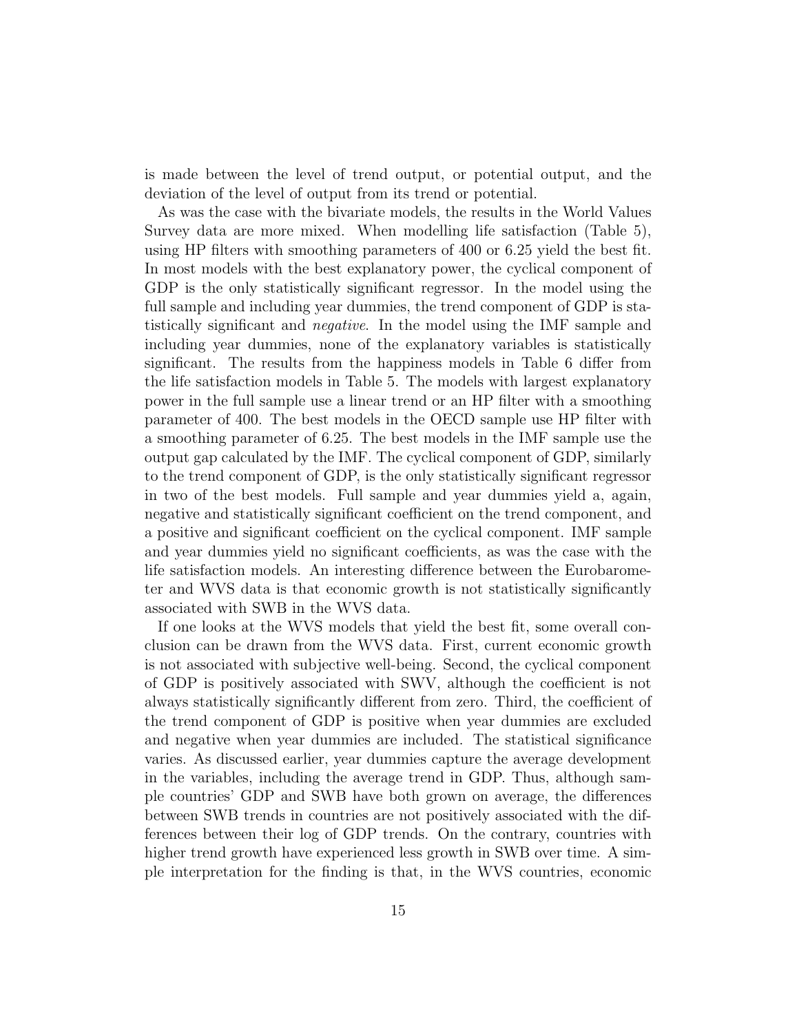is made between the level of trend output, or potential output, and the deviation of the level of output from its trend or potential.

As was the case with the bivariate models, the results in the World Values Survey data are more mixed. When modelling life satisfaction (Table 5), using HP filters with smoothing parameters of 400 or 6.25 yield the best fit. In most models with the best explanatory power, the cyclical component of GDP is the only statistically significant regressor. In the model using the full sample and including year dummies, the trend component of GDP is statistically significant and negative. In the model using the IMF sample and including year dummies, none of the explanatory variables is statistically significant. The results from the happiness models in Table 6 differ from the life satisfaction models in Table 5. The models with largest explanatory power in the full sample use a linear trend or an HP filter with a smoothing parameter of 400. The best models in the OECD sample use HP filter with a smoothing parameter of 6.25. The best models in the IMF sample use the output gap calculated by the IMF. The cyclical component of GDP, similarly to the trend component of GDP, is the only statistically significant regressor in two of the best models. Full sample and year dummies yield a, again, negative and statistically significant coefficient on the trend component, and a positive and significant coefficient on the cyclical component. IMF sample and year dummies yield no significant coefficients, as was the case with the life satisfaction models. An interesting difference between the Eurobarometer and WVS data is that economic growth is not statistically significantly associated with SWB in the WVS data.

If one looks at the WVS models that yield the best fit, some overall conclusion can be drawn from the WVS data. First, current economic growth is not associated with subjective well-being. Second, the cyclical component of GDP is positively associated with SWV, although the coefficient is not always statistically significantly different from zero. Third, the coefficient of the trend component of GDP is positive when year dummies are excluded and negative when year dummies are included. The statistical significance varies. As discussed earlier, year dummies capture the average development in the variables, including the average trend in GDP. Thus, although sample countries' GDP and SWB have both grown on average, the differences between SWB trends in countries are not positively associated with the differences between their log of GDP trends. On the contrary, countries with higher trend growth have experienced less growth in SWB over time. A simple interpretation for the finding is that, in the WVS countries, economic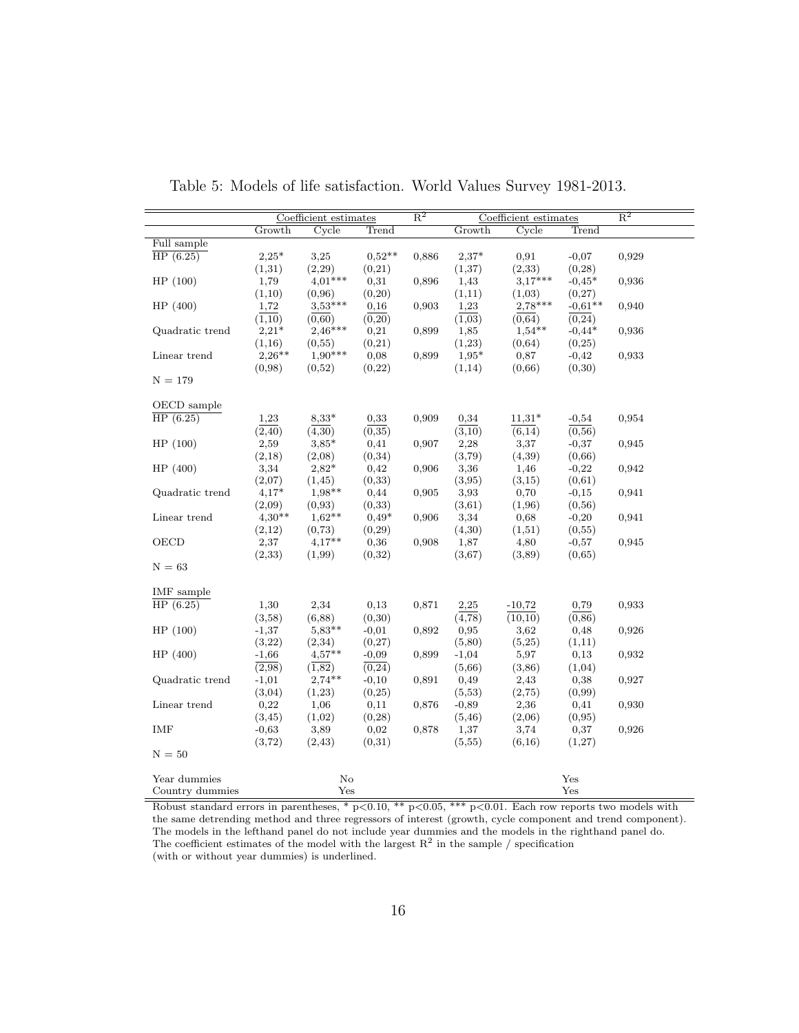|                 |          | Coefficient estimates |          | $\overline{\mathrm{R}^2}$ |                     | Coefficient estimates |           | $\overline{\mathrm{R}^2}$ |
|-----------------|----------|-----------------------|----------|---------------------------|---------------------|-----------------------|-----------|---------------------------|
|                 | Growth   | Cycle                 | Trend    |                           | Growth              | Cycle                 | Trend     |                           |
| Full sample     |          |                       |          |                           |                     |                       |           |                           |
| HP(6.25)        | $2,25*$  | 3,25                  | $0.52**$ | 0,886                     | $2.37*$             | 0,91                  | $-0,07$   | 0,929                     |
|                 | (1,31)   | (2,29)                | (0,21)   |                           | (1,37)              | (2, 33)               | (0, 28)   |                           |
| HP(100)         | 1,79     | $4.01***$             | 0,31     | 0,896                     | 1,43                | $3,17***$             | $-0.45*$  | 0,936                     |
|                 | (1,10)   | (0.96)                | (0,20)   |                           | (1,11)              | (1,03)                | (0,27)    |                           |
| HP(400)         | 1,72     | $3.53***$             | 0,16     | 0,903                     | 1,23                | $2,78***$             | $-0.61**$ | 0,940                     |
|                 | (1,10)   | (0.60)                | (0,20)   |                           | (1,03)              | (0.64)                | (0, 24)   |                           |
| Quadratic trend | $2,21*$  | $2,46***$             | 0,21     | 0,899                     | 1,85                | $1,54**$              | $-0.44*$  | 0,936                     |
|                 | (1,16)   | (0.55)                | (0,21)   |                           | (1,23)              | (0,64)                | (0,25)    |                           |
| Linear trend    | $2,26**$ | $1,90***$             | 0,08     | 0,899                     | $1,95*$             | 0,87                  | $-0,42$   | 0,933                     |
|                 | (0,98)   | (0,52)                | (0,22)   |                           | (1,14)              | (0,66)                | (0,30)    |                           |
| $N = 179$       |          |                       |          |                           |                     |                       |           |                           |
|                 |          |                       |          |                           |                     |                       |           |                           |
| OECD sample     |          |                       |          |                           |                     |                       |           |                           |
| HP(6.25)        | 1,23     | $8,33*$               | 0,33     | 0,909                     | 0,34                | $11,31*$              | $-0,54$   | 0,954                     |
|                 | (2, 40)  | $(\overline{4,30})$   | (0,35)   |                           | $(\overline{3,10})$ | (6,14)                | (0,56)    |                           |
| HP(100)         | 2,59     | $3,85*$               | 0,41     | 0,907                     | 2,28                | 3,37                  | $-0,37$   | 0,945                     |
|                 | (2,18)   | (2,08)                | (0,34)   |                           | (3,79)              | (4,39)                | (0,66)    |                           |
| HP(400)         | 3,34     | $2,82*$               | 0,42     | 0,906                     | 3,36                | 1,46                  | $-0,22$   | 0,942                     |
|                 | (2,07)   | (1, 45)               | (0,33)   |                           | (3,95)              | (3,15)                | (0,61)    |                           |
| Quadratic trend | $4,17*$  | $1.98**$              | 0,44     | 0,905                     | 3,93                | 0,70                  | $-0,15$   | 0,941                     |
|                 | (2,09)   | (0, 93)               | (0,33)   |                           | (3,61)              | (1,96)                | (0,56)    |                           |
| Linear trend    | $4,30**$ | $1.62**$              | $0.49*$  | 0,906                     | 3,34                | 0,68                  | $-0,20$   | 0,941                     |
|                 | (2,12)   | (0, 73)               | (0, 29)  |                           | (4,30)              | (1,51)                | (0,55)    |                           |
| OECD            | 2,37     | $4.17**$              | 0,36     | 0,908                     | 1,87                | 4,80                  | $-0,57$   | 0,945                     |
|                 | (2,33)   | (1,99)                | (0,32)   |                           | (3,67)              | (3,89)                | (0,65)    |                           |
| $N = 63$        |          |                       |          |                           |                     |                       |           |                           |
|                 |          |                       |          |                           |                     |                       |           |                           |
| IMF sample      |          |                       |          |                           |                     |                       |           |                           |
| HP(6.25)        | 1,30     | 2,34                  | 0,13     | 0,871                     | 2,25                | $-10,72$              | 0,79      | 0,933                     |
|                 |          |                       |          |                           |                     |                       |           |                           |
|                 | (3,58)   | (6,88)<br>$5,83**$    | (0,30)   |                           | (4,78)<br>0,95      | (10,10)               | (0, 86)   |                           |
| HP(100)         | $-1,37$  |                       | $-0,01$  | 0,892                     |                     | 3,62                  | 0,48      | 0,926                     |
|                 | (3,22)   | (2,34)                | (0,27)   |                           | (5,80)              | (5,25)                | (1,11)    |                           |
| HP(400)         | $-1,66$  | $4,57**$              | $-0,09$  | 0,899                     | $-1,04$             | 5,97                  | 0,13      | 0,932                     |
|                 | (2,98)   | (1,82)                | (0, 24)  |                           | (5,66)              | (3,86)                | (1,04)    |                           |
| Quadratic trend | $-1,01$  | $2,74**$              | $-0,10$  | 0,891                     | 0,49                | 2,43                  | 0,38      | 0,927                     |
|                 | (3,04)   | (1,23)                | (0,25)   |                           | (5,53)              | (2,75)                | (0, 99)   |                           |
| Linear trend    | 0,22     | 1,06                  | 0,11     | 0,876                     | $-0,89$             | 2,36                  | 0,41      | 0.930                     |
|                 | (3, 45)  | (1,02)                | (0, 28)  |                           | (5, 46)             | (2,06)                | (0, 95)   |                           |
| IMF             | $-0,63$  | 3,89                  | 0,02     | 0,878                     | 1,37                | 3,74                  | 0,37      | 0,926                     |
|                 | (3,72)   | (2,43)                | (0,31)   |                           | (5,55)              | (6,16)                | (1,27)    |                           |
| $N = 50$        |          |                       |          |                           |                     |                       |           |                           |
|                 |          |                       |          |                           |                     |                       |           |                           |
| Year dummies    |          | $\rm No$              |          |                           |                     |                       | Yes       |                           |
| Country dummies |          | Yes                   |          |                           |                     |                       | Yes       |                           |

Table 5: Models of life satisfaction. World Values Survey 1981-2013.

Robust standard errors in parentheses, \*  $p<0.10$ , \*\*  $p<0.05$ , \*\*\*  $p<0.01$ . Each row reports two models with the same detrending method and three regressors of interest (growth, cycle component and trend component). The models in the lefthand panel do not include year dummies and the models in the righthand panel do. The coefficient estimates of the model with the largest  $\mathbb{R}^2$  in the sample / specification (with or without year dummies) is underlined.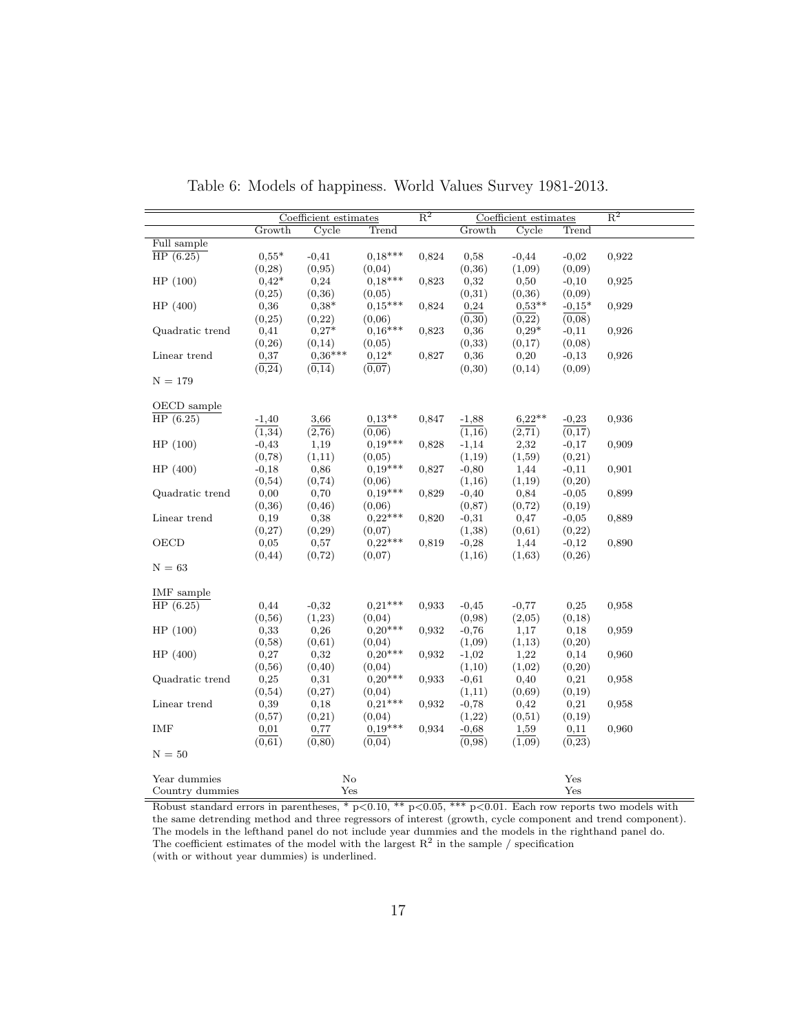|                 | Coefficient estimates |                     |                     | $\overline{\mathrm{R}^2}$ | Coefficient estimates |                     |                | $\overline{\mathrm{R}^2}$ |
|-----------------|-----------------------|---------------------|---------------------|---------------------------|-----------------------|---------------------|----------------|---------------------------|
|                 | Growth                | Cycle               | Trend               |                           | Growth                | Cycle               | Trend          |                           |
| Full sample     |                       |                     |                     |                           |                       |                     |                |                           |
| HP(6.25)        | $0.55*$               | $-0,41$             | $0.18***$           | 0,824                     | 0,58                  | $-0,44$             | $-0,02$        | 0,922                     |
|                 | (0, 28)               | (0, 95)             | (0,04)              |                           | (0, 36)               | (1,09)              | (0,09)         |                           |
| HP(100)         | $0.42*$               | 0,24                | $0.18***$           | 0,823                     | 0,32                  | 0,50                | $-0,10$        | 0,925                     |
|                 | (0, 25)               | (0,36)              | (0,05)              |                           | (0,31)                | (0,36)              | (0,09)         |                           |
| HP (400)        | 0,36                  | $0,38*$             | $0,15***$           | 0,824                     | 0,24                  | $0.53**$            | $-0.15*$       | 0,929                     |
|                 | (0, 25)               | (0,22)              | (0.06)              |                           | (0,30)                | (0,22)              | (0,08)         |                           |
| Quadratic trend | 0,41                  | $0,27*$             | $0,16***$           | 0,823                     | 0,36                  | $0,29*$             | $-0,11$        | 0,926                     |
|                 | (0, 26)               | (0,14)              | (0,05)              |                           | (0,33)                | (0,17)              | (0,08)         |                           |
| Linear trend    | 0,37                  | $0.36***$           | $0,12*$             | 0,827                     | 0,36                  | 0,20                | $-0,13$        | 0,926                     |
|                 | $(\overline{0,24})$   | $(\overline{0,14})$ | $(\overline{0,07})$ |                           | (0,30)                | (0,14)              | (0,09)         |                           |
| $N = 179$       |                       |                     |                     |                           |                       |                     |                |                           |
|                 |                       |                     |                     |                           |                       |                     |                |                           |
| OECD sample     |                       |                     |                     |                           |                       |                     |                |                           |
| HP(6.25)        | $-1,40$               | 3,66                | $0.13**$            | 0,847                     | $-1,88$               | $6,22**$            | $-0,23$        | 0,936                     |
|                 | (1,34)                | $(\overline{2,76})$ | $(\overline{0,06})$ |                           | (1,16)                | $(\overline{2,71})$ | (0,17)         |                           |
| HP(100)         | $-0,43$               | 1,19                | $0.19***$           | 0,828                     | $-1,14$               | 2,32                | $-0,17$        | 0,909                     |
|                 | (0,78)                | (1,11)              | (0.05)              |                           | (1,19)                | (1,59)              | (0,21)         |                           |
| HP (400)        | $-0,18$               | 0,86                | $0,19***$           | 0,827                     | $-0,80$               | 1,44                | $-0,11$        | 0,901                     |
|                 | (0,54)                | (0, 74)             | (0,06)              |                           |                       | (1,19)              | (0,20)         |                           |
| Quadratic trend | 0,00                  | 0,70                | $0,19***$           | 0,829                     | (1,16)<br>$-0,40$     | 0,84                | $-0,05$        | 0,899                     |
|                 |                       |                     |                     |                           |                       |                     |                |                           |
|                 | (0,36)                | (0, 46)             | (0,06)              |                           | (0, 87)               | (0, 72)             | (0,19)         |                           |
| Linear trend    | 0,19                  | 0,38                | $0,22***$           | 0,820                     | $-0,31$               | 0,47                | $-0.05$        | 0,889                     |
|                 | (0,27)                | (0, 29)             | (0,07)              |                           | (1,38)                | (0,61)              | (0,22)         |                           |
| OECD            | 0,05                  | 0,57                | $0.22***$           | 0,819                     | $-0,28$               | 1,44                | $-0,12$        | 0,890                     |
|                 | (0, 44)               | (0, 72)             | (0,07)              |                           | (1,16)                | (1,63)              | (0, 26)        |                           |
| $N = 63$        |                       |                     |                     |                           |                       |                     |                |                           |
| IMF sample      |                       |                     |                     |                           |                       |                     |                |                           |
| HP(6.25)        | 0,44                  | $-0,32$             | $0,21***$           | 0,933                     | $-0,45$               | $-0,77$             | 0,25           | 0,958                     |
|                 | (0, 56)               | (1,23)              | (0,04)              |                           | (0,98)                | (2,05)              | (0,18)         |                           |
| HP(100)         | 0,33                  | 0,26                | $0.20***$           | 0.932                     | $-0,76$               | 1,17                | 0,18           | 0,959                     |
|                 | (0,58)                | (0,61)              |                     |                           | (1,09)                | (1,13)              | (0,20)         |                           |
| HP(400)         | 0,27                  | 0,32                | (0,04)<br>$0.20***$ | 0.932                     | $-1,02$               | 1,22                | 0,14           | 0,960                     |
|                 |                       |                     | (0,04)              |                           |                       | (1,02)              |                |                           |
| Quadratic trend | (0, 56)<br>0,25       | (0, 40)<br>0,31     | $0,20***$           | 0,933                     | (1,10)<br>$-0,61$     | 0,40                | (0,20)<br>0,21 | 0,958                     |
|                 |                       |                     |                     |                           |                       | (0,69)              |                |                           |
|                 | (0, 54)               | (0,27)              | (0,04)<br>$0,21***$ |                           | (1,11)                |                     | (0,19)         |                           |
| Linear trend    | 0,39                  | 0,18                |                     | 0,932                     | $-0,78$               | 0,42                | 0,21           | 0,958                     |
| <b>IMF</b>      | (0,57)                | (0,21)              | (0,04)<br>$0,19***$ |                           | (1,22)                | (0,51)              | (0,19)         |                           |
|                 | 0,01                  | 0,77                |                     | 0,934                     | $-0,68$               | 1,59                | 0,11           | 0,960                     |
| $N = 50$        | (0,61)                | (0, 80)             | (0,04)              |                           | (0,98)                | (1,09)              | (0, 23)        |                           |
|                 |                       |                     |                     |                           |                       |                     |                |                           |
| Year dummies    |                       | $\rm No$            |                     |                           |                       |                     | Yes            |                           |
| Country dummies |                       | Yes                 |                     |                           |                       |                     | Yes            |                           |
|                 |                       |                     |                     |                           |                       |                     |                |                           |

Table 6: Models of happiness. World Values Survey 1981-2013.

Robust standard errors in parentheses, \*  $p<0.10$ , \*\*  $p<0.05$ , \*\*\*  $p<0.01$ . Each row reports two models with the same detrending method and three regressors of interest (growth, cycle component and trend component). The models in the lefthand panel do not include year dummies and the models in the righthand panel do. The coefficient estimates of the model with the largest  $\mathbb{R}^2$  in the sample / specification (with or without year dummies) is underlined.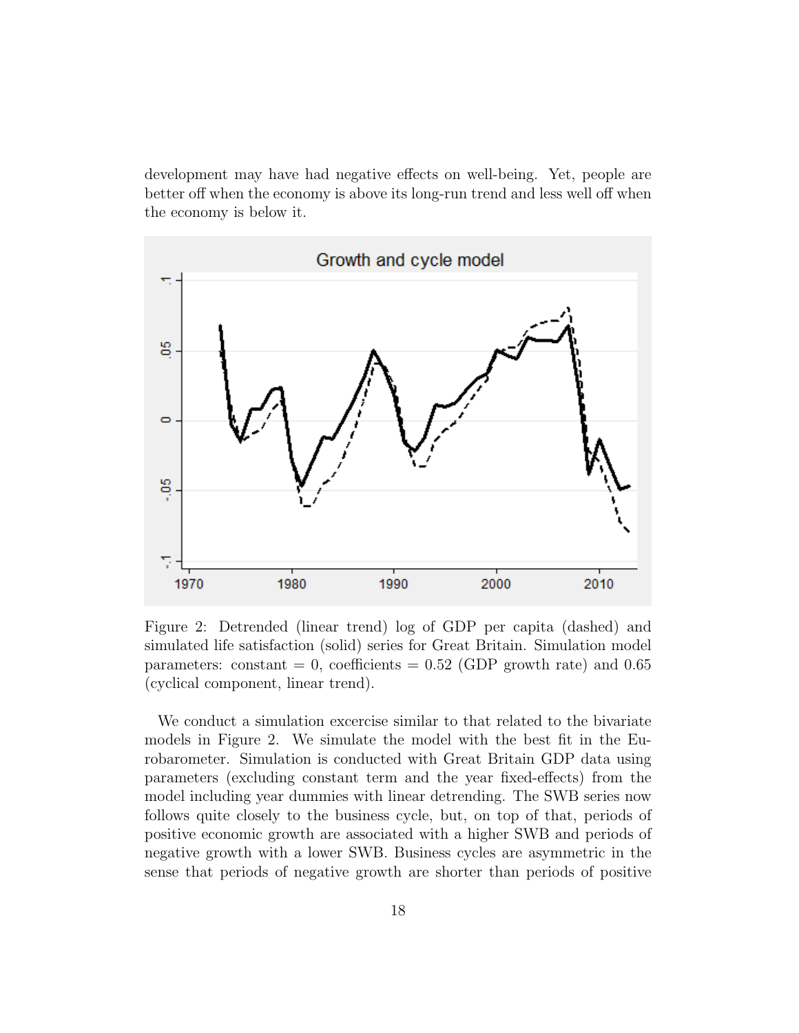development may have had negative effects on well-being. Yet, people are better off when the economy is above its long-run trend and less well off when the economy is below it.



Figure 2: Detrended (linear trend) log of GDP per capita (dashed) and simulated life satisfaction (solid) series for Great Britain. Simulation model parameters: constant = 0, coefficients =  $0.52$  (GDP growth rate) and  $0.65$ (cyclical component, linear trend).

We conduct a simulation excercise similar to that related to the bivariate models in Figure 2. We simulate the model with the best fit in the Eurobarometer. Simulation is conducted with Great Britain GDP data using parameters (excluding constant term and the year fixed-effects) from the model including year dummies with linear detrending. The SWB series now follows quite closely to the business cycle, but, on top of that, periods of positive economic growth are associated with a higher SWB and periods of negative growth with a lower SWB. Business cycles are asymmetric in the sense that periods of negative growth are shorter than periods of positive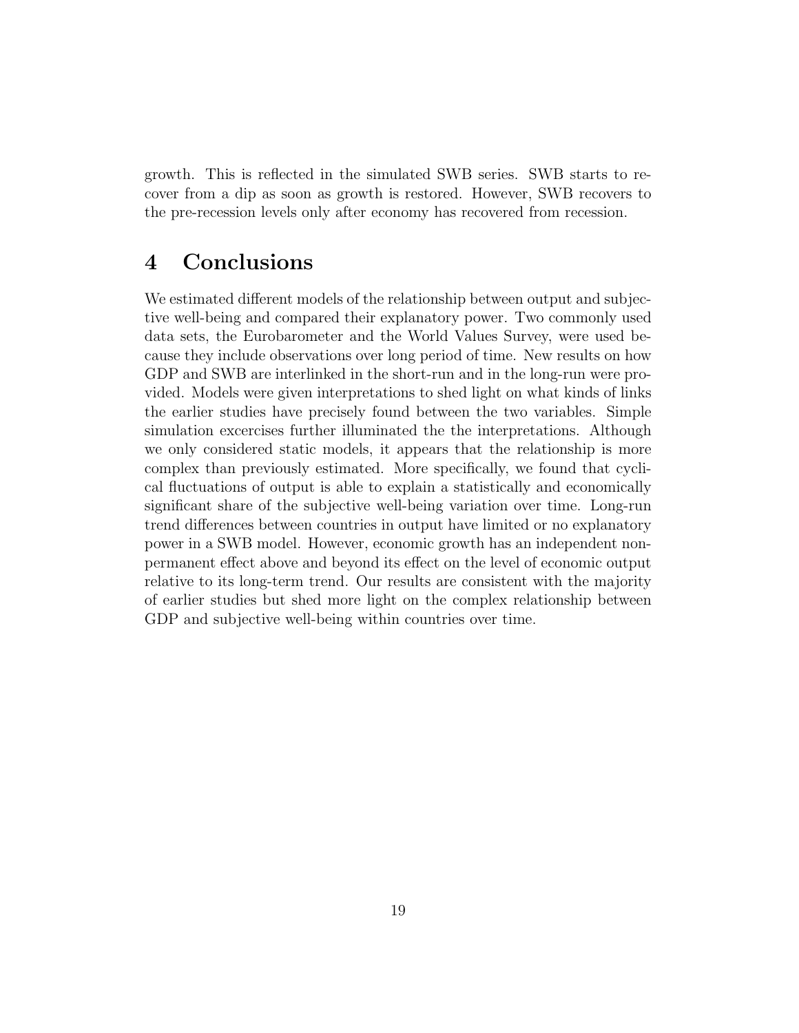growth. This is reflected in the simulated SWB series. SWB starts to recover from a dip as soon as growth is restored. However, SWB recovers to the pre-recession levels only after economy has recovered from recession.

### 4 Conclusions

We estimated different models of the relationship between output and subjective well-being and compared their explanatory power. Two commonly used data sets, the Eurobarometer and the World Values Survey, were used because they include observations over long period of time. New results on how GDP and SWB are interlinked in the short-run and in the long-run were provided. Models were given interpretations to shed light on what kinds of links the earlier studies have precisely found between the two variables. Simple simulation excercises further illuminated the the interpretations. Although we only considered static models, it appears that the relationship is more complex than previously estimated. More specifically, we found that cyclical fluctuations of output is able to explain a statistically and economically significant share of the subjective well-being variation over time. Long-run trend differences between countries in output have limited or no explanatory power in a SWB model. However, economic growth has an independent nonpermanent effect above and beyond its effect on the level of economic output relative to its long-term trend. Our results are consistent with the majority of earlier studies but shed more light on the complex relationship between GDP and subjective well-being within countries over time.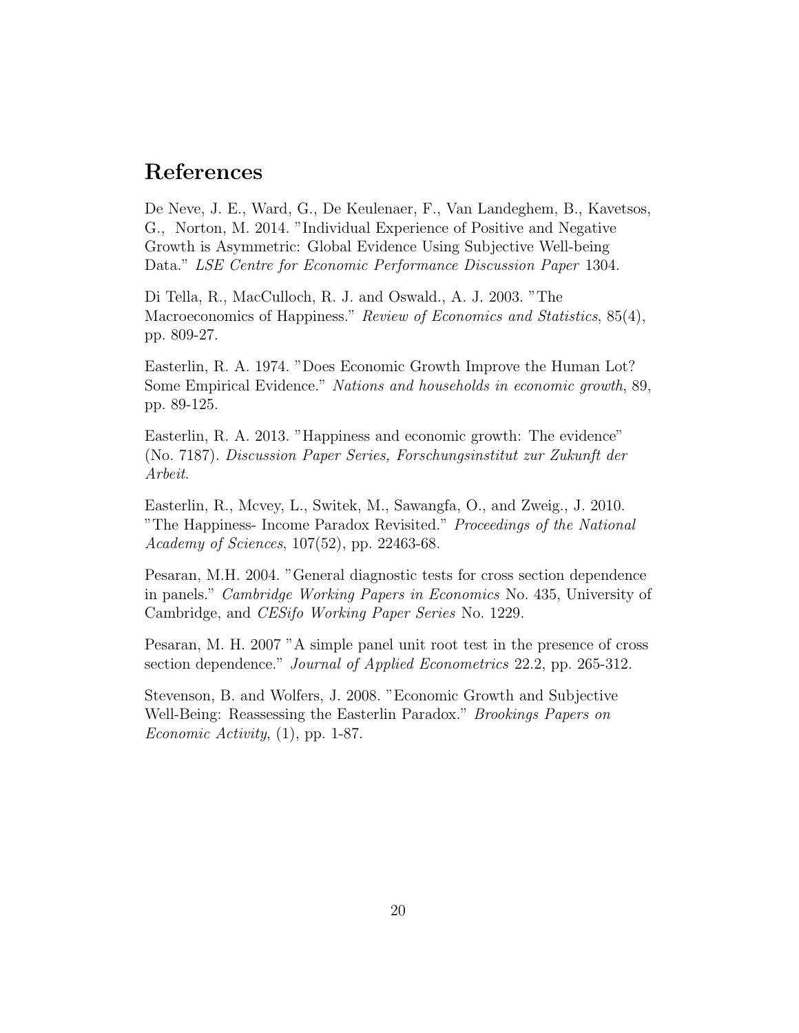### References

De Neve, J. E., Ward, G., De Keulenaer, F., Van Landeghem, B., Kavetsos, G., Norton, M. 2014. "Individual Experience of Positive and Negative Growth is Asymmetric: Global Evidence Using Subjective Well-being Data." LSE Centre for Economic Performance Discussion Paper 1304.

Di Tella, R., MacCulloch, R. J. and Oswald., A. J. 2003. "The Macroeconomics of Happiness." Review of Economics and Statistics, 85(4), pp. 809-27.

Easterlin, R. A. 1974. "Does Economic Growth Improve the Human Lot? Some Empirical Evidence." Nations and households in economic growth, 89, pp. 89-125.

Easterlin, R. A. 2013. "Happiness and economic growth: The evidence" (No. 7187). Discussion Paper Series, Forschungsinstitut zur Zukunft der Arbeit.

Easterlin, R., Mcvey, L., Switek, M., Sawangfa, O., and Zweig., J. 2010. "The Happiness- Income Paradox Revisited." Proceedings of the National Academy of Sciences, 107(52), pp. 22463-68.

Pesaran, M.H. 2004. "General diagnostic tests for cross section dependence in panels." Cambridge Working Papers in Economics No. 435, University of Cambridge, and CESifo Working Paper Series No. 1229.

Pesaran, M. H. 2007 "A simple panel unit root test in the presence of cross section dependence." Journal of Applied Econometrics 22.2, pp. 265-312.

Stevenson, B. and Wolfers, J. 2008. "Economic Growth and Subjective Well-Being: Reassessing the Easterlin Paradox." Brookings Papers on Economic Activity, (1), pp. 1-87.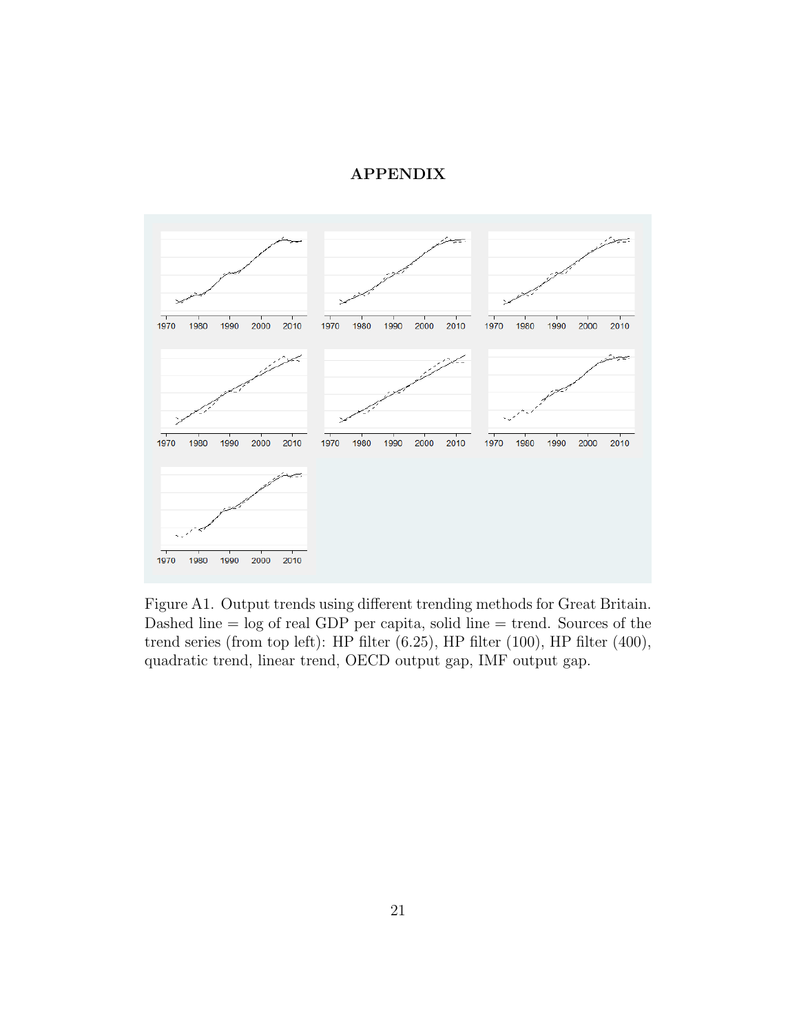#### APPENDIX



Figure A1. Output trends using different trending methods for Great Britain. Dashed line = log of real GDP per capita, solid line = trend. Sources of the trend series (from top left): HP filter (6.25), HP filter (100), HP filter (400), quadratic trend, linear trend, OECD output gap, IMF output gap.